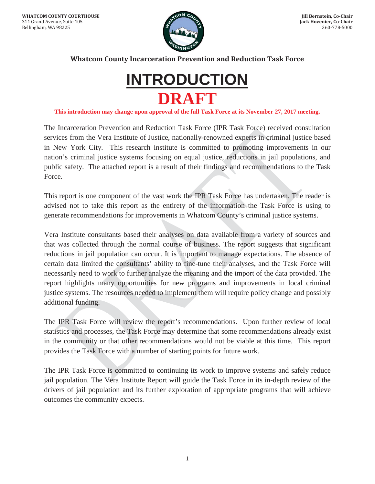

**Whatcom County Incarceration Prevention and Reduction Task Force** 



**This introduction may change upon approval of the full Task Force at its November 27, 2017 meeting.**

The Incarceration Prevention and Reduction Task Force (IPR Task Force) received consultation services from the Vera Institute of Justice, nationally-renowned experts in criminal justice based in New York City. This research institute is committed to promoting improvements in our nation's criminal justice systems focusing on equal justice, reductions in jail populations, and public safety. The attached report is a result of their findings and recommendations to the Task Force.

This report is one component of the vast work the IPR Task Force has undertaken. The reader is advised not to take this report as the entirety of the information the Task Force is using to generate recommendations for improvements in Whatcom County's criminal justice systems.

Vera Institute consultants based their analyses on data available from a variety of sources and that was collected through the normal course of business. The report suggests that significant reductions in jail population can occur. It is important to manage expectations. The absence of certain data limited the consultants' ability to fine-tune their analyses, and the Task Force will necessarily need to work to further analyze the meaning and the import of the data provided. The report highlights many opportunities for new programs and improvements in local criminal justice systems. The resources needed to implement them will require policy change and possibly additional funding.

The IPR Task Force will review the report's recommendations. Upon further review of local statistics and processes, the Task Force may determine that some recommendations already exist in the community or that other recommendations would not be viable at this time. This report provides the Task Force with a number of starting points for future work.

The IPR Task Force is committed to continuing its work to improve systems and safely reduce jail population. The Vera Institute Report will guide the Task Force in its in-depth review of the drivers of jail population and its further exploration of appropriate programs that will achieve outcomes the community expects.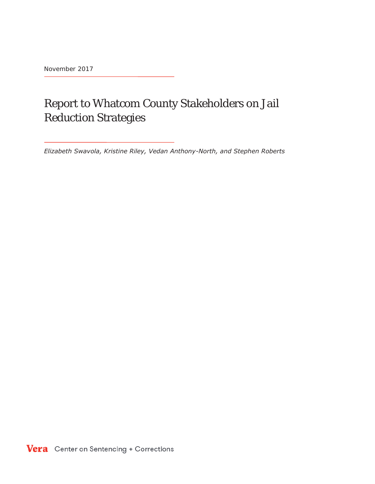November 2017

# Report to Whatcom County Stakeholders on Jail Reduction Strategies

*Elizabeth Swavola, Kristine Riley, Vedan Anthony-North, and Stephen Roberts*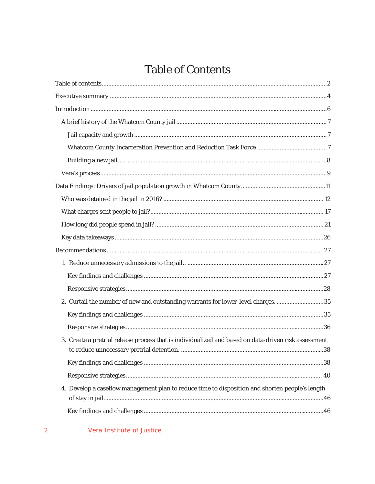# **Table of Contents**

| 2. Curtail the number of new and outstanding warrants for lower-level charges. 35                    |  |
|------------------------------------------------------------------------------------------------------|--|
|                                                                                                      |  |
|                                                                                                      |  |
| 3. Create a pretrial release process that is individualized and based on data-driven risk assessment |  |
|                                                                                                      |  |
|                                                                                                      |  |
| 4. Develop a caseflow management plan to reduce time to disposition and shorten people's length      |  |
|                                                                                                      |  |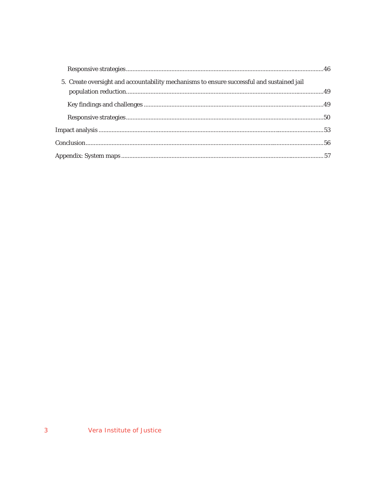| 5. Create oversight and accountability mechanisms to ensure successful and sustained jail |  |
|-------------------------------------------------------------------------------------------|--|
|                                                                                           |  |
|                                                                                           |  |
|                                                                                           |  |
|                                                                                           |  |
|                                                                                           |  |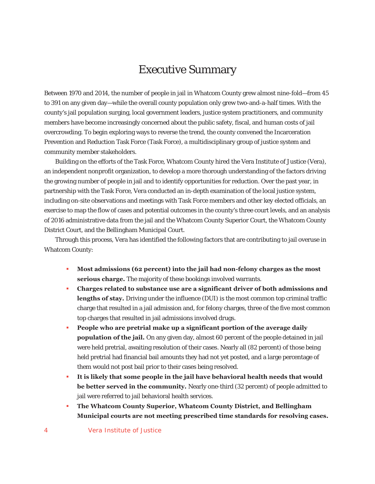# Executive Summary

Between 1970 and 2014, the number of people in jail in Whatcom County grew almost nine-fold—from 45 to 391 on any given day—while the overall county population only grew two-and-a-half times. With the county's jail population surging, local government leaders, justice system practitioners, and community members have become increasingly concerned about the public safety, fiscal, and human costs of jail overcrowding. To begin exploring ways to reverse the trend, the county convened the Incarceration Prevention and Reduction Task Force (Task Force), a multidisciplinary group of justice system and community member stakeholders.

Building on the efforts of the Task Force, Whatcom County hired the Vera Institute of Justice (Vera), an independent nonprofit organization, to develop a more thorough understanding of the factors driving the growing number of people in jail and to identify opportunities for reduction. Over the past year, in partnership with the Task Force, Vera conducted an in-depth examination of the local justice system, including on-site observations and meetings with Task Force members and other key elected officials, an exercise to map the flow of cases and potential outcomes in the county's three court levels, and an analysis of 2016 administrative data from the jail and the Whatcom County Superior Court, the Whatcom County District Court, and the Bellingham Municipal Court.

Through this process, Vera has identified the following factors that are contributing to jail overuse in Whatcom County:

- **Most admissions (62 percent) into the jail had non-felony charges as the most serious charge.** The majority of these bookings involved warrants.
- **Charges related to substance use are a significant driver of both admissions and lengths of stay.** Driving under the influence (DUI) is the most common top criminal traffic charge that resulted in a jail admission and, for felony charges, three of the five most common top charges that resulted in jail admissions involved drugs.
- **People who are pretrial make up a significant portion of the average daily population of the jail.** On any given day, almost 60 percent of the people detained in jail were held pretrial, awaiting resolution of their cases. Nearly all (82 percent) of those being held pretrial had financial bail amounts they had not yet posted, and a large percentage of them would not post bail prior to their cases being resolved.
- **It is likely that some people in the jail have behavioral health needs that would be better served in the community.** Nearly one-third (32 percent) of people admitted to jail were referred to jail behavioral health services.
- **The Whatcom County Superior, Whatcom County District, and Bellingham Municipal courts are not meeting prescribed time standards for resolving cases.**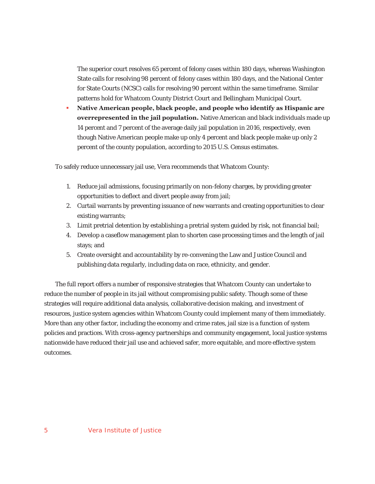The superior court resolves 65 percent of felony cases within 180 days, whereas Washington State calls for resolving 98 percent of felony cases within 180 days, and the National Center for State Courts (NCSC) calls for resolving 90 percent within the same timeframe. Similar patterns hold for Whatcom County District Court and Bellingham Municipal Court.

 **Native American people, black people, and people who identify as Hispanic are overrepresented in the jail population.** Native American and black individuals made up 14 percent and 7 percent of the average daily jail population in 2016, respectively, even though Native American people make up only 4 percent and black people make up only 2 percent of the county population, according to 2015 U.S. Census estimates.

To safely reduce unnecessary jail use, Vera recommends that Whatcom County:

- 1. Reduce jail admissions, focusing primarily on non-felony charges, by providing greater opportunities to deflect and divert people away from jail;
- 2. Curtail warrants by preventing issuance of new warrants and creating opportunities to clear existing warrants;
- 3. Limit pretrial detention by establishing a pretrial system guided by risk, not financial bail;
- 4. Develop a caseflow management plan to shorten case processing times and the length of jail stays; and
- 5. Create oversight and accountability by re-convening the Law and Justice Council and publishing data regularly, including data on race, ethnicity, and gender.

The full report offers a number of responsive strategies that Whatcom County can undertake to reduce the number of people in its jail without compromising public safety. Though some of these strategies will require additional data analysis, collaborative decision making, and investment of resources, justice system agencies within Whatcom County could implement many of them immediately. More than any other factor, including the economy and crime rates, jail size is a function of system policies and practices. With cross-agency partnerships and community engagement, local justice systems nationwide have reduced their jail use and achieved safer, more equitable, and more effective system outcomes.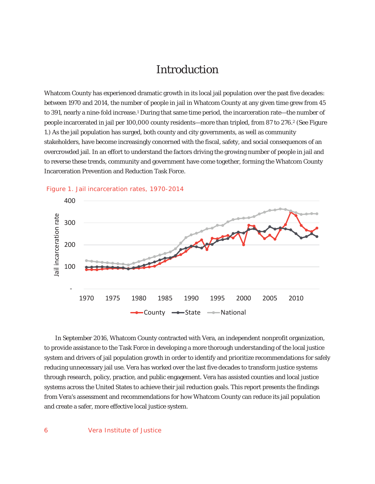# Introduction

Whatcom County has experienced dramatic growth in its local jail population over the past five decades: between 1970 and 2014, the number of people in jail in Whatcom County at any given time grew from 45 to 391, nearly a nine-fold increase.<sup>1</sup> During that same time period, the incarceration rate—the number of people incarcerated in jail per 100,000 county residents—more than tripled, from 87 to 276.2 (See Figure 1.) As the jail population has surged, both county and city governments, as well as community stakeholders, have become increasingly concerned with the fiscal, safety, and social consequences of an overcrowded jail. In an effort to understand the factors driving the growing number of people in jail and to reverse these trends, community and government have come together, forming the Whatcom County Incarceration Prevention and Reduction Task Force.





 In September 2016, Whatcom County contracted with Vera, an independent nonprofit organization, to provide assistance to the Task Force in developing a more thorough understanding of the local justice system and drivers of jail population growth in order to identify and prioritize recommendations for safely reducing unnecessary jail use. Vera has worked over the last five decades to transform justice systems through research, policy, practice, and public engagement. Vera has assisted counties and local justice systems across the United States to achieve their jail reduction goals. This report presents the findings from Vera's assessment and recommendations for how Whatcom County can reduce its jail population and create a safer, more effective local justice system.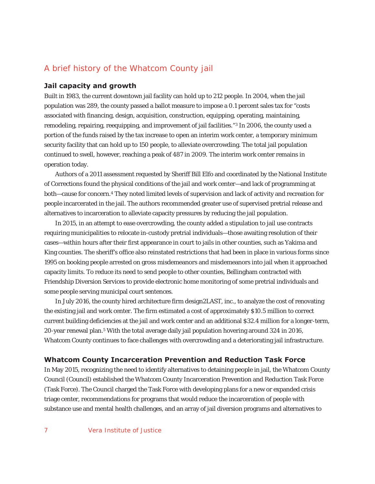# A brief history of the Whatcom County jail

#### **Jail capacity and growth**

Built in 1983, the current downtown jail facility can hold up to 212 people. In 2004, when the jail population was 289, the county passed a ballot measure to impose a 0.1 percent sales tax for "costs associated with financing, design, acquisition, construction, equipping, operating, maintaining, remodeling, repairing, reequipping, and improvement of jail facilities."<sup>3</sup> In 2006, the county used a portion of the funds raised by the tax increase to open an interim work center, a temporary minimum security facility that can hold up to 150 people, to alleviate overcrowding. The total jail population continued to swell, however, reaching a peak of 487 in 2009. The interim work center remains in operation today.

Authors of a 2011 assessment requested by Sheriff Bill Elfo and coordinated by the National Institute of Corrections found the physical conditions of the jail and work center—and lack of programming at both—cause for concern.4 They noted limited levels of supervision and lack of activity and recreation for people incarcerated in the jail. The authors recommended greater use of supervised pretrial release and alternatives to incarceration to alleviate capacity pressures by reducing the jail population.

In 2015, in an attempt to ease overcrowding, the county added a stipulation to jail use contracts requiring municipalities to relocate in-custody pretrial individuals—those awaiting resolution of their cases—within hours after their first appearance in court to jails in other counties, such as Yakima and King counties. The sheriff's office also reinstated restrictions that had been in place in various forms since 1995 on booking people arrested on gross misdemeanors and misdemeanors into jail when it approached capacity limits. To reduce its need to send people to other counties, Bellingham contracted with Friendship Diversion Services to provide electronic home monitoring of some pretrial individuals and some people serving municipal court sentences.

In July 2016, the county hired architecture firm design2LAST, inc., to analyze the cost of renovating the existing jail and work center. The firm estimated a cost of approximately \$10.5 million to correct current building deficiencies at the jail and work center and an additional \$32.4 million for a longer-term, 20-year renewal plan.5 With the total average daily jail population hovering around 324 in 2016, Whatcom County continues to face challenges with overcrowding and a deteriorating jail infrastructure.

## **Whatcom County Incarceration Prevention and Reduction Task Force**

In May 2015, recognizing the need to identify alternatives to detaining people in jail, the Whatcom County Council (Council) established the Whatcom County Incarceration Prevention and Reduction Task Force (Task Force). The Council charged the Task Force with developing plans for a new or expanded crisis triage center, recommendations for programs that would reduce the incarceration of people with substance use and mental health challenges, and an array of jail diversion programs and alternatives to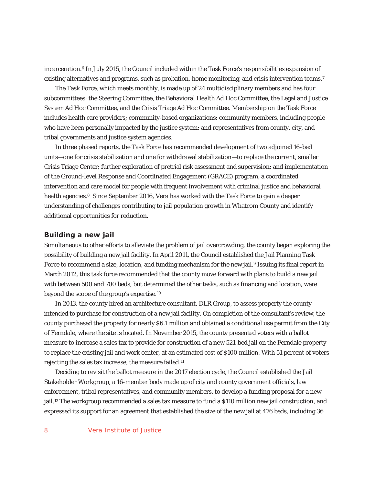incarceration.6 In July 2015, the Council included within the Task Force's responsibilities expansion of existing alternatives and programs, such as probation, home monitoring, and crisis intervention teams.<sup>7</sup>

The Task Force, which meets monthly, is made up of 24 multidisciplinary members and has four subcommittees: the Steering Committee, the Behavioral Health Ad Hoc Committee, the Legal and Justice System Ad Hoc Committee, and the Crisis Triage Ad Hoc Committee. Membership on the Task Force includes health care providers; community-based organizations; community members, including people who have been personally impacted by the justice system; and representatives from county, city, and tribal governments and justice system agencies.

In three phased reports, the Task Force has recommended development of two adjoined 16-bed units—one for crisis stabilization and one for withdrawal stabilization—to replace the current, smaller Crisis Triage Center; further exploration of pretrial risk assessment and supervision; and implementation of the Ground-level Response and Coordinated Engagement (GRACE) program, a coordinated intervention and care model for people with frequent involvement with criminal justice and behavioral health agencies.<sup>8</sup> Since September 2016, Vera has worked with the Task Force to gain a deeper understanding of challenges contributing to jail population growth in Whatcom County and identify additional opportunities for reduction.

#### **Building a new jail**

Simultaneous to other efforts to alleviate the problem of jail overcrowding, the county began exploring the possibility of building a new jail facility. In April 2011, the Council established the Jail Planning Task Force to recommend a size, location, and funding mechanism for the new jail.<sup>9</sup> Issuing its final report in March 2012, this task force recommended that the county move forward with plans to build a new jail with between 500 and 700 beds, but determined the other tasks, such as financing and location, were beyond the scope of the group's expertise.10

In 2013, the county hired an architecture consultant, DLR Group, to assess property the county intended to purchase for construction of a new jail facility. On completion of the consultant's review, the county purchased the property for nearly \$6.1 million and obtained a conditional use permit from the City of Ferndale, where the site is located. In November 2015, the county presented voters with a ballot measure to increase a sales tax to provide for construction of a new 521-bed jail on the Ferndale property to replace the existing jail and work center, at an estimated cost of \$100 million. With 51 percent of voters rejecting the sales tax increase, the measure failed.11

Deciding to revisit the ballot measure in the 2017 election cycle, the Council established the Jail Stakeholder Workgroup, a 16-member body made up of city and county government officials, law enforcement, tribal representatives, and community members, to develop a funding proposal for a new jail.12 The workgroup recommended a sales tax measure to fund a \$110 million new jail construction, and expressed its support for an agreement that established the size of the new jail at 476 beds, including 36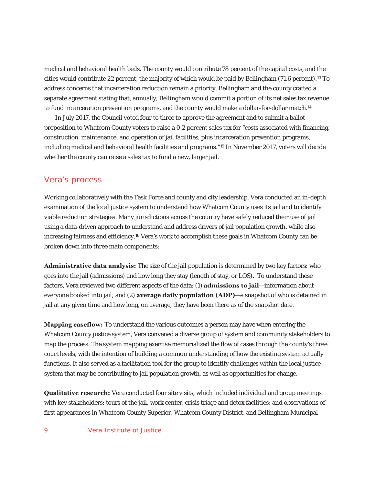medical and behavioral health beds. The county would contribute 78 percent of the capital costs, and the cities would contribute 22 percent, the majority of which would be paid by Bellingham (71.6 percent).13 To address concerns that incarceration reduction remain a priority, Bellingham and the county crafted a separate agreement stating that, annually, Bellingham would commit a portion of its net sales tax revenue to fund incarceration prevention programs, and the county would make a dollar-for-dollar match.<sup>14</sup>

In July 2017, the Council voted four to three to approve the agreement and to submit a ballot proposition to Whatcom County voters to raise a 0.2 percent sales tax for "costs associated with financing, construction, maintenance, and operation of jail facilities, plus incarceration prevention programs, including medical and behavioral health facilities and programs."15 In November 2017, voters will decide whether the county can raise a sales tax to fund a new, larger jail.

# Vera's process

Working collaboratively with the Task Force and county and city leadership, Vera conducted an in-depth examination of the local justice system to understand how Whatcom County uses its jail and to identify viable reduction strategies. Many jurisdictions across the country have safely reduced their use of jail using a data-driven approach to understand and address drivers of jail population growth, while also increasing fairness and efficiency.16 Vera's work to accomplish these goals in Whatcom County can be broken down into three main components:

**Administrative data analysis:** The size of the jail population is determined by two key factors: who goes into the jail (admissions) and how long they stay (length of stay, or LOS). To understand these factors, Vera reviewed two different aspects of the data: (1) **admissions to jail**—information about everyone booked into jail; and (2) **average daily population (ADP)**—a snapshot of who is detained in jail at any given time and how long, on average, they have been there as of the snapshot date.

**Mapping caseflow:** To understand the various outcomes a person may have when entering the Whatcom County justice system, Vera convened a diverse group of system and community stakeholders to map the process. The system mapping exercise memorialized the flow of cases through the county's three court levels, with the intention of building a common understanding of how the existing system actually functions. It also served as a facilitation tool for the group to identify challenges within the local justice system that may be contributing to jail population growth, as well as opportunities for change.

**Qualitative research:** Vera conducted four site visits, which included individual and group meetings with key stakeholders; tours of the jail, work center, crisis triage and detox facilities; and observations of first appearances in Whatcom County Superior, Whatcom County District, and Bellingham Municipal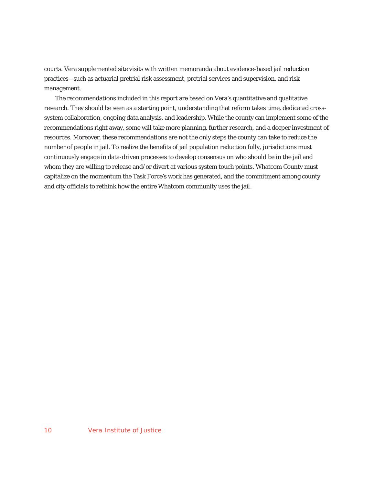courts. Vera supplemented site visits with written memoranda about evidence-based jail reduction practices—such as actuarial pretrial risk assessment, pretrial services and supervision, and risk management.

The recommendations included in this report are based on Vera's quantitative and qualitative research. They should be seen as a starting point, understanding that reform takes time, dedicated crosssystem collaboration, ongoing data analysis, and leadership. While the county can implement some of the recommendations right away, some will take more planning, further research, and a deeper investment of resources. Moreover, these recommendations are not the only steps the county can take to reduce the number of people in jail. To realize the benefits of jail population reduction fully, jurisdictions must continuously engage in data-driven processes to develop consensus on who should be in the jail and whom they are willing to release and/or divert at various system touch points. Whatcom County must capitalize on the momentum the Task Force's work has generated, and the commitment among county and city officials to rethink how the entire Whatcom community uses the jail.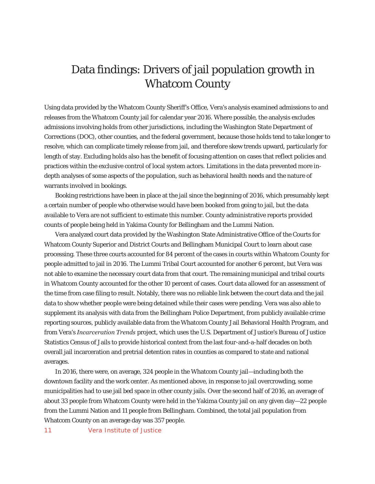# Data findings: Drivers of jail population growth in Whatcom County

Using data provided by the Whatcom County Sheriff's Office, Vera's analysis examined admissions to and releases from the Whatcom County jail for calendar year 2016. Where possible, the analysis excludes admissions involving holds from other jurisdictions, including the Washington State Department of Corrections (DOC), other counties, and the federal government, because those holds tend to take longer to resolve, which can complicate timely release from jail, and therefore skew trends upward, particularly for length of stay. Excluding holds also has the benefit of focusing attention on cases that reflect policies and practices within the exclusive control of local system actors. Limitations in the data prevented more indepth analyses of some aspects of the population, such as behavioral health needs and the nature of warrants involved in bookings.

Booking restrictions have been in place at the jail since the beginning of 2016, which presumably kept a certain number of people who otherwise would have been booked from going to jail, but the data available to Vera are not sufficient to estimate this number. County administrative reports provided counts of people being held in Yakima County for Bellingham and the Lummi Nation.

Vera analyzed court data provided by the Washington State Administrative Office of the Courts for Whatcom County Superior and District Courts and Bellingham Municipal Court to learn about case processing. These three courts accounted for 84 percent of the cases in courts within Whatcom County for people admitted to jail in 2016. The Lummi Tribal Court accounted for another 6 percent, but Vera was not able to examine the necessary court data from that court. The remaining municipal and tribal courts in Whatcom County accounted for the other 10 percent of cases. Court data allowed for an assessment of the time from case filing to result. Notably, there was no reliable link between the court data and the jail data to show whether people were being detained while their cases were pending. Vera was also able to supplement its analysis with data from the Bellingham Police Department, from publicly available crime reporting sources, publicly available data from the Whatcom County Jail Behavioral Health Program, and from Vera's *Incarceration Trends* project, which uses the U.S. Department of Justice's Bureau of Justice Statistics Census of Jails to provide historical context from the last four-and-a-half decades on both overall jail incarceration and pretrial detention rates in counties as compared to state and national averages.

In 2016, there were, on average, 324 people in the Whatcom County jail—including both the downtown facility and the work center. As mentioned above, in response to jail overcrowding, some municipalities had to use jail bed space in other county jails. Over the second half of 2016, an average of about 33 people from Whatcom County were held in the Yakima County jail on any given day—22 people from the Lummi Nation and 11 people from Bellingham. Combined, the total jail population from Whatcom County on an average day was 357 people.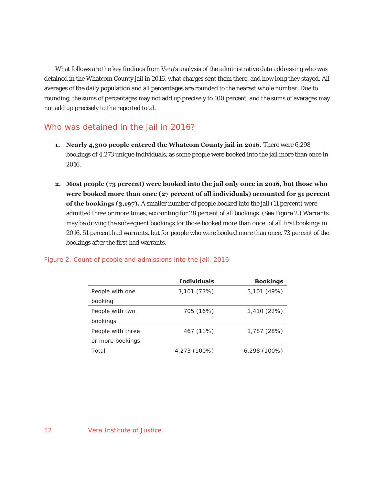What follows are the key findings from Vera's analysis of the administrative data addressing who was detained in the Whatcom County jail in 2016, what charges sent them there, and how long they stayed. All averages of the daily population and all percentages are rounded to the nearest whole number. Due to rounding, the sums of percentages may not add up precisely to 100 percent, and the sums of averages may not add up precisely to the reported total.

# Who was detained in the jail in 2016?

- **1. Nearly 4,300 people entered the Whatcom County jail in 2016.** There were 6,298 bookings of 4,273 unique individuals, as some people were booked into the jail more than once in 2016.
- **2. Most people (73 percent) were booked into the jail only once in 2016, but those who were booked more than once (27 percent of all individuals) accounted for 51 percent of the bookings (3,197).** A smaller number of people booked into the jail (11 percent) were admitted three or more times, accounting for 28 percent of all bookings. (See Figure 2.) Warrants may be driving the subsequent bookings for those booked more than once: of all first bookings in 2016, 51 percent had warrants, but for people who were booked more than once, 73 percent of the bookings after the first had warrants.

## Figure 2. Count of people and admissions into the jail, 2016

|                   | <b>Individuals</b> | <b>Bookings</b> |
|-------------------|--------------------|-----------------|
| People with one   | 3,101 (73%)        | 3,101(49%)      |
| booking           |                    |                 |
| People with two   | 705 (16%)          | 1,410 (22%)     |
| bookings          |                    |                 |
| People with three | 467 (11%)          | 1,787 (28%)     |
| or more bookings  |                    |                 |
| Total             | 4,273 (100%)       | $6,298(100\%)$  |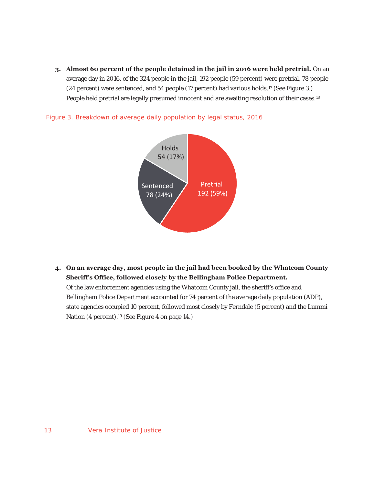**3. Almost 60 percent of the people detained in the jail in 2016 were held pretrial.** On an average day in 2016, of the 324 people in the jail, 192 people (59 percent) were pretrial, 78 people  $(24$  percent) were sentenced, and 54 people  $(17$  percent) had various holds.<sup>17</sup> (See Figure 3.) People held pretrial are legally presumed innocent and are awaiting resolution of their cases.<sup>18</sup>



Figure 3. Breakdown of average daily population by legal status, 2016

**4. On an average day, most people in the jail had been booked by the Whatcom County Sheriff's Office, followed closely by the Bellingham Police Department.** 

Of the law enforcement agencies using the Whatcom County jail, the sheriff's office and Bellingham Police Department accounted for 74 percent of the average daily population (ADP), state agencies occupied 10 percent, followed most closely by Ferndale (5 percent) and the Lummi Nation (4 percent).19 (See Figure 4 on page 14.)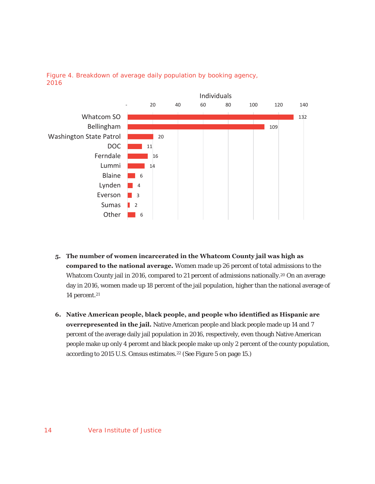

## Figure 4. Breakdown of average daily population by booking agency, 2016

- **5. The number of women incarcerated in the Whatcom County jail was high as compared to the national average.** Women made up 26 percent of total admissions to the Whatcom County jail in 2016, compared to 21 percent of admissions nationally.<sup>20</sup> On an average day in 2016, women made up 18 percent of the jail population, higher than the national average of 14 percent.21
- **6. Native American people, black people, and people who identified as Hispanic are overrepresented in the jail.** Native American people and black people made up 14 and 7 percent of the average daily jail population in 2016, respectively, even though Native American people make up only 4 percent and black people make up only 2 percent of the county population, according to 2015 U.S. Census estimates.22 (See Figure 5 on page 15.)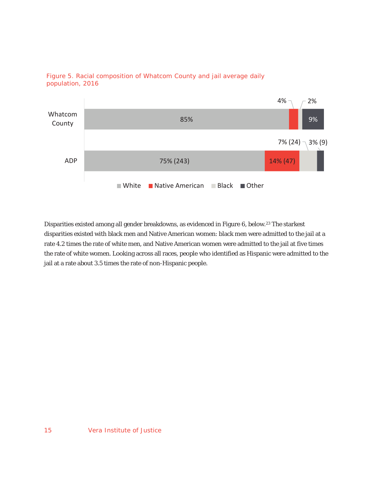



Disparities existed among all gender breakdowns, as evidenced in Figure 6, below.23 The starkest disparities existed with black men and Native American women: black men were admitted to the jail at a rate 4.2 times the rate of white men, and Native American women were admitted to the jail at five times the rate of white women. Looking across all races, people who identified as Hispanic were admitted to the jail at a rate about 3.5 times the rate of non-Hispanic people.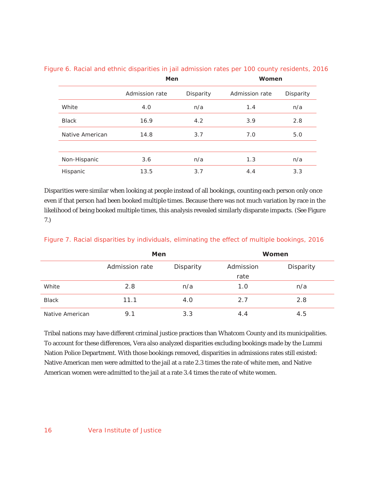|                 | Men            |           | Women          |           |
|-----------------|----------------|-----------|----------------|-----------|
|                 | Admission rate | Disparity | Admission rate | Disparity |
| White           | 4.0            | n/a       | 1.4            | n/a       |
| <b>Black</b>    | 16.9           | 4.2       | 3.9            | 2.8       |
| Native American | 14.8           | 3.7       | 7.0            | 5.0       |
|                 |                |           |                |           |
| Non-Hispanic    | 3.6            | n/a       | 1.3            | n/a       |
| Hispanic        | 13.5           | 3.7       | 4.4            | 3.3       |

# Figure 6. Racial and ethnic disparities in jail admission rates per 100 county residents, 2016

Disparities were similar when looking at people instead of all bookings, counting each person only once even if that person had been booked multiple times. Because there was not much variation by race in the likelihood of being booked multiple times, this analysis revealed similarly disparate impacts. (See Figure 7.)

|                 | Men            |           |      | Women     |
|-----------------|----------------|-----------|------|-----------|
|                 | Admission rate | Disparity |      | Disparity |
|                 |                |           | rate |           |
| White           | 2.8            | n/a       | 1.0  | n/a       |
| <b>Black</b>    | 11.1           | 4.0       | 2.7  | 2.8       |
| Native American | 9.1            | 3.3       | 4.4  | 4.5       |

## Figure 7. Racial disparities by individuals, eliminating the effect of multiple bookings, 2016

Tribal nations may have different criminal justice practices than Whatcom County and its municipalities. To account for these differences, Vera also analyzed disparities excluding bookings made by the Lummi Nation Police Department. With those bookings removed, disparities in admissions rates still existed: Native American men were admitted to the jail at a rate 2.3 times the rate of white men, and Native American women were admitted to the jail at a rate 3.4 times the rate of white women.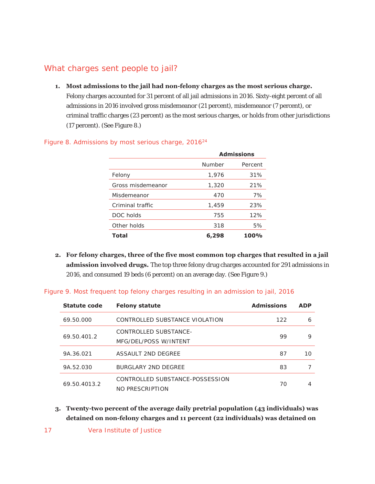# What charges sent people to jail?

**1. Most admissions to the jail had non-felony charges as the most serious charge.**  Felony charges accounted for 31 percent of all jail admissions in 2016. Sixty-eight percent of all admissions in 2016 involved gross misdemeanor (21 percent), misdemeanor (7 percent), or criminal traffic charges (23 percent) as the most serious charges, or holds from other jurisdictions (17 percent). (See Figure 8.)

|                   | <b>Admissions</b> |         |  |  |
|-------------------|-------------------|---------|--|--|
|                   | Number            | Percent |  |  |
| Felony            | 1,976             | 31%     |  |  |
| Gross misdemeanor | 1,320             | 21%     |  |  |
| Misdemeanor       | 470               | 7%      |  |  |
| Criminal traffic  | 1,459             | 23%     |  |  |
| DOC holds         | 755               | 12%     |  |  |
| Other holds       | 318               | 5%      |  |  |
| <b>Total</b>      | 6,298             | 100%    |  |  |

#### Figure 8. Admissions by most serious charge,  $2016^{24}$

**2. For felony charges, three of the five most common top charges that resulted in a jail admission involved drugs.** The top three felony drug charges accounted for 291 admissions in 2016, and consumed 19 beds (6 percent) on an average day. (See Figure 9.)

| Statute code | <b>Felony statute</b>           | <b>Admissions</b> | <b>ADP</b> |
|--------------|---------------------------------|-------------------|------------|
| 69.50.000    | CONTROLLED SUBSTANCE VIOLATION  | 122               | 6          |
|              | CONTROLLED SUBSTANCE-           |                   | 9          |
| 69.50.401.2  | MFG/DEL/POSS W/INTENT           | 99                |            |
| 9A.36.021    | ASSAULT 2ND DEGREE              | 87                | 10         |
| 9A.52.030    | BURGLARY 2ND DEGREE             | 83                |            |
| 69.50.4013.2 | CONTROLLED SUBSTANCE-POSSESSION | 70                |            |
|              | NO PRESCRIPTION                 |                   |            |

#### Figure 9. Most frequent top felony charges resulting in an admission to jail, 2016

- **3. Twenty-two percent of the average daily pretrial population (43 individuals) was detained on non-felony charges and 11 percent (22 individuals) was detained on**
- 17 Vera Institute of Justice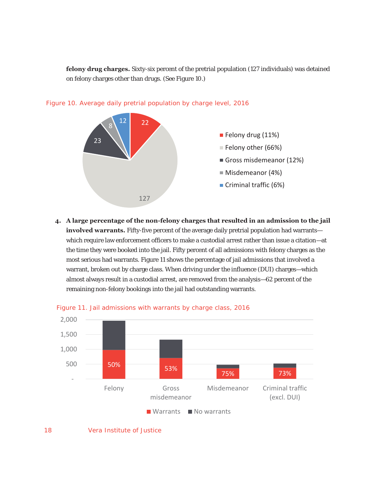**felony drug charges.** Sixty-six percent of the pretrial population (127 individuals) was detained on felony charges other than drugs. (See Figure 10.)





**4. A large percentage of the non-felony charges that resulted in an admission to the jail involved warrants.** Fifty-five percent of the average daily pretrial population had warrants which require law enforcement officers to make a custodial arrest rather than issue a citation—at the time they were booked into the jail. Fifty percent of all admissions with felony charges as the most serious had warrants. Figure 11 shows the percentage of jail admissions that involved a warrant, broken out by charge class. When driving under the influence (DUI) charges—which almost always result in a custodial arrest, are removed from the analysis—62 percent of the remaining non-felony bookings into the jail had outstanding warrants.



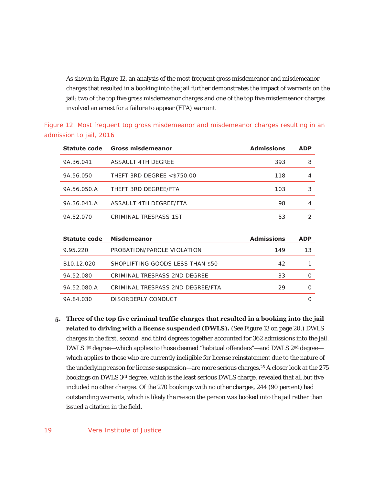As shown in Figure 12, an analysis of the most frequent gross misdemeanor and misdemeanor charges that resulted in a booking into the jail further demonstrates the impact of warrants on the jail: two of the top five gross misdemeanor charges and one of the top five misdemeanor charges involved an arrest for a failure to appear (FTA) warrant.

| Statute code           | Gross misdemeanor                | <b>Admissions</b> | <b>ADP</b>     |
|------------------------|----------------------------------|-------------------|----------------|
| 9A.36.041              | ASSAULT 4TH DEGREE               | 393               | 8              |
| 9A.56.050              | THEFT 3RD DEGREE $<$ \$750.00    | 118               | 4              |
| 9A.56.050.A            | THEFT 3RD DEGREE/FTA             | 103               | 3              |
| 9A.36.041.A            | ASSAULT 4TH DEGREE/FTA           | 98                | 4              |
| 9A.52.070              | CRIMINAL TRESPASS 1ST            | 53                | $\mathfrak{D}$ |
|                        |                                  |                   |                |
| Statute code           | <b>Misdemeanor</b>               | <b>Admissions</b> | <b>ADP</b>     |
| 9.95.220               | PROBATION/PAROLE VIOLATION       | 149               | 13             |
| B <sub>10.12.020</sub> | SHOPLIFTING GOODS LESS THAN \$50 | 42                | 1              |
| 9A.52.080              | CRIMINAL TRESPASS 2ND DEGREE     | 33                | 0              |
| 9A.52.080.A            | CRIMINAL TRESPASS 2ND DEGREE/FTA | 29                | 0              |

Figure 12. Most frequent top gross misdemeanor and misdemeanor charges resulting in an admission to jail, 2016

**5. Three of the top five criminal traffic charges that resulted in a booking into the jail related to driving with a license suspended (DWLS).** (See Figure 13 on page 20.) DWLS charges in the first, second, and third degrees together accounted for 362 admissions into the jail. DWLS 1<sup>st</sup> degree—which applies to those deemed "habitual offenders"—and DWLS 2<sup>nd</sup> degree which applies to those who are currently ineligible for license reinstatement due to the nature of the underlying reason for license suspension—are more serious charges.25 A closer look at the 275 bookings on DWLS 3rd degree, which is the least serious DWLS charge, revealed that all but five included no other charges. Of the 270 bookings with no other charges, 244 (90 percent) had outstanding warrants, which is likely the reason the person was booked into the jail rather than issued a citation in the field.

9A.84.030 DISORDERLY CONDUCT 0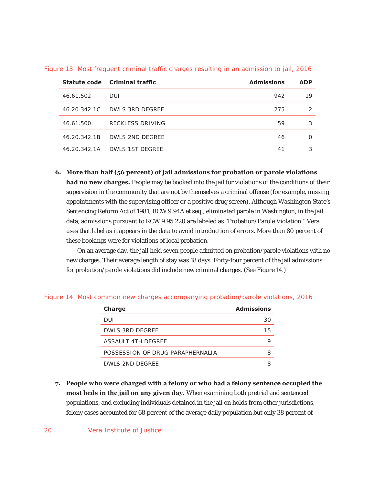|              | Statute code Criminal traffic | <b>Admissions</b> | <b>ADP</b> |
|--------------|-------------------------------|-------------------|------------|
| 46.61.502    | DUI                           | 942               | 19         |
| 46.20.342.1C | DWLS 3RD DEGREE               | 275               | っ          |
| 46.61.500    | <b>RECKLESS DRIVING</b>       | 59                | 3          |
| 46.20.342.1B | DWLS 2ND DEGREE               | 46                | ∩          |
| 46.20.342.1A | DWLS 1ST DEGREE               | 41                |            |

Figure 13. Most frequent criminal traffic charges resulting in an admission to jail, 2016

**6. More than half (56 percent) of jail admissions for probation or parole violations had no new charges.** People may be booked into the jail for violations of the conditions of their supervision in the community that are not by themselves a criminal offense (for example, missing appointments with the supervising officer or a positive drug screen). Although Washington State's Sentencing Reform Act of 1981, RCW 9.94A et seq., eliminated parole in Washington, in the jail data, admissions pursuant to RCW 9.95.220 are labeled as "Probation/Parole Violation." Vera uses that label as it appears in the data to avoid introduction of errors. More than 80 percent of these bookings were for violations of local probation.

On an average day, the jail held seven people admitted on probation/parole violations with no new charges. Their average length of stay was 18 days. Forty-four percent of the jail admissions for probation/parole violations did include new criminal charges. (See Figure 14.)

| <b>Charge</b>                    | <b>Admissions</b> |
|----------------------------------|-------------------|
| DUI                              | 30                |
| DWLS 3RD DEGREE                  | 15                |
| ASSAULT 4TH DEGREE               |                   |
| POSSESSION OF DRUG PARAPHERNALIA | 8                 |
| DWLS 2ND DEGREE                  |                   |

#### Figure 14. Most common new charges accompanying probation/parole violations, 2016

**7. People who were charged with a felony or who had a felony sentence occupied the most beds in the jail on any given day.** When examining both pretrial and sentenced populations, and excluding individuals detained in the jail on holds from other jurisdictions, felony cases accounted for 68 percent of the average daily population but only 38 percent of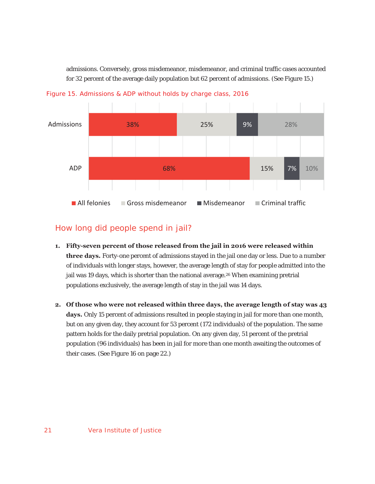admissions. Conversely, gross misdemeanor, misdemeanor, and criminal traffic cases accounted for 32 percent of the average daily population but 62 percent of admissions. (See Figure 15.)



Figure 15. Admissions & ADP without holds by charge class, 2016

# How long did people spend in jail?

- **1. Fifty-seven percent of those released from the jail in 2016 were released within three days.** Forty-one percent of admissions stayed in the jail one day or less. Due to a number of individuals with longer stays, however, the average length of stay for people admitted into the jail was 19 days, which is shorter than the national average.<sup>26</sup> When examining pretrial populations exclusively, the average length of stay in the jail was 14 days.
- **2. Of those who were not released within three days, the average length of stay was 43 days.** Only 15 percent of admissions resulted in people staying in jail for more than one month, but on any given day, they account for 53 percent (172 individuals) of the population. The same pattern holds for the daily pretrial population. On any given day, 51 percent of the pretrial population (96 individuals) has been in jail for more than one month awaiting the outcomes of their cases. (See Figure 16 on page 22.)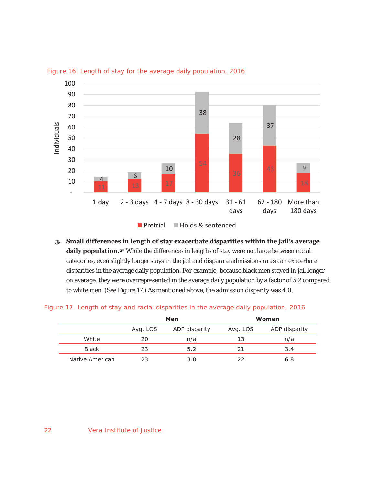

Figure 16. Length of stay for the average daily population, 2016

**Pretrial Holds & sentenced** 

**3. Small differences in length of stay exacerbate disparities within the jail's average**  daily population.<sup>27</sup> While the differences in lengths of stay were not large between racial categories, even slightly longer stays in the jail and disparate admissions rates can exacerbate disparities in the average daily population. For example, because black men stayed in jail longer on average, they were overrepresented in the average daily population by a factor of 5.2 compared to white men. (See Figure 17.) As mentioned above, the admission disparity was 4.0.

|  |  |  |  |  | Figure 17. Length of stay and racial disparities in the average daily population, 2016 |  |
|--|--|--|--|--|----------------------------------------------------------------------------------------|--|

|                 |          | Men           |          | Women         |
|-----------------|----------|---------------|----------|---------------|
|                 | Avg. LOS | ADP disparity | Avg. LOS | ADP disparity |
| White           | 20       | n/a           | 13       | n/a           |
| <b>Black</b>    | 23       | 5.2           | 21       | 3.4           |
| Native American | 23       | 3.8           | つつ       | 6.8           |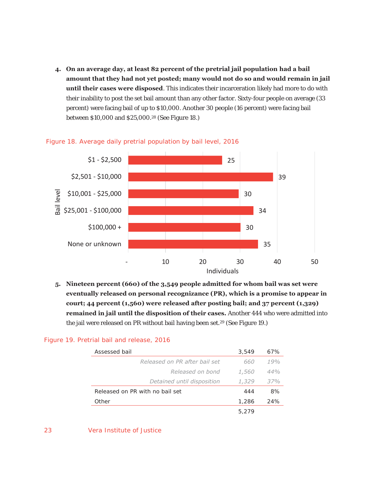**4. On an average day, at least 82 percent of the pretrial jail population had a bail amount that they had not yet posted; many would not do so and would remain in jail until their cases were disposed**. This indicates their incarceration likely had more to do with their inability to post the set bail amount than any other factor. Sixty-four people on average (33 percent) were facing bail of up to \$10,000. Another 30 people (16 percent) were facing bail between \$10,000 and \$25,000.28 (See Figure 18.)



#### Figure 18. Average daily pretrial population by bail level, 2016

**5. Nineteen percent (660) of the 3,549 people admitted for whom bail was set were eventually released on personal recognizance (PR), which is a promise to appear in court; 44 percent (1,560) were released after posting bail; and 37 percent (1,329) remained in jail until the disposition of their cases.** Another 444 who were admitted into the jail were released on PR without bail having been set.<sup>29</sup> (See Figure 19.)

#### Figure 19. Pretrial bail and release, 2016

| Assessed bail                   | 3,549        | 67% |
|---------------------------------|--------------|-----|
| Released on PR after hail set   | 660          | 19% |
| Released on bond                | <i>1,560</i> | 44% |
| Detained until disposition      | 1,329        | 37% |
| Released on PR with no bail set | 444          | 8%  |
| Other                           | 1,286        | 24% |
|                                 | 5,279        |     |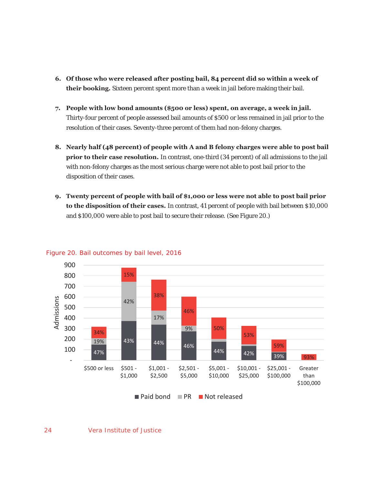- **6. Of those who were released after posting bail, 84 percent did so within a week of their booking.** Sixteen percent spent more than a week in jail before making their bail.
- **7. People with low bond amounts (\$500 or less) spent, on average, a week in jail.**  Thirty-four percent of people assessed bail amounts of \$500 or less remained in jail prior to the resolution of their cases. Seventy-three percent of them had non-felony charges.
- **8. Nearly half (48 percent) of people with A and B felony charges were able to post bail prior to their case resolution.** In contrast, one-third (34 percent) of all admissions to the jail with non-felony charges as the most serious charge were not able to post bail prior to the disposition of their cases.
- **9. Twenty percent of people with bail of \$1,000 or less were not able to post bail prior to the disposition of their cases.** In contrast, 41 percent of people with bail between \$10,000 and \$100,000 were able to post bail to secure their release. (See Figure 20.)



#### Figure 20. Bail outcomes by bail level, 2016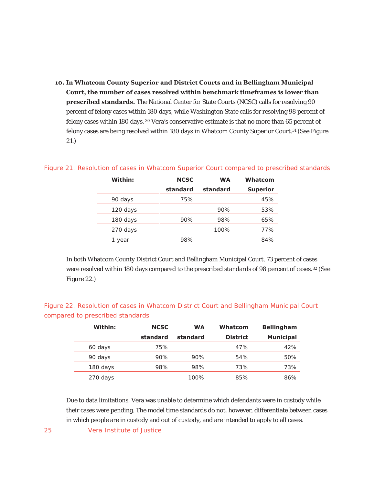**10. In Whatcom County Superior and District Courts and in Bellingham Municipal Court, the number of cases resolved within benchmark timeframes is lower than prescribed standards.** The National Center for State Courts (NCSC) calls for resolving 90 percent of felony cases within 180 days, while Washington State calls for resolving 98 percent of felony cases within 180 days. 30 Vera's conservative estimate is that no more than 65 percent of felony cases are being resolved within 180 days in Whatcom County Superior Court.31 (See Figure 21.)

| Within:  | <b>NCSC</b> | <b>WA</b> | Whatcom         |
|----------|-------------|-----------|-----------------|
|          | standard    | standard  | <b>Superior</b> |
| 90 days  | 75%         |           | 45%             |
| 120 days |             | 90%       | 53%             |
| 180 days | 90%         | 98%       | 65%             |
| 270 days |             | 100%      | 77%             |
| year     | 98%         |           | 84%             |

## Figure 21. Resolution of cases in Whatcom Superior Court compared to prescribed standards

In both Whatcom County District Court and Bellingham Municipal Court, 73 percent of cases were resolved within 180 days compared to the prescribed standards of 98 percent of cases.<sup>32</sup> (See Figure 22.)

|                                  | Figure 22. Resolution of cases in Whatcom District Court and Bellingham Municipal Court |  |  |  |
|----------------------------------|-----------------------------------------------------------------------------------------|--|--|--|
| compared to prescribed standards |                                                                                         |  |  |  |

| Within:  | <b>NCSC</b> | <b>WA</b> | Whatcom         | <b>Bellingham</b> |
|----------|-------------|-----------|-----------------|-------------------|
|          | standard    | standard  | <b>District</b> | <b>Municipal</b>  |
| 60 days  | 75%         |           | 47%             | 42%               |
| 90 days  | 90%         | 90%       | 54%             | 50%               |
| 180 days | 98%         | 98%       | 73%             | 73%               |
| 270 days |             | 100%      | 85%             | 86%               |

Due to data limitations, Vera was unable to determine which defendants were in custody while their cases were pending. The model time standards do not, however, differentiate between cases in which people are in custody and out of custody, and are intended to apply to all cases.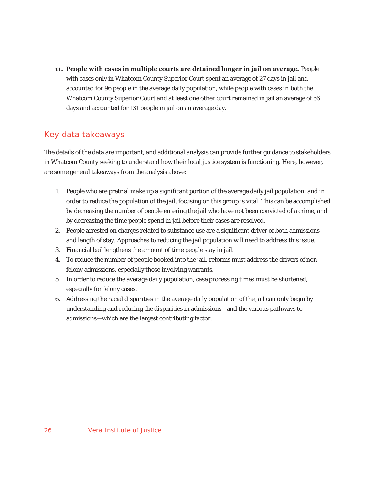**11. People with cases in multiple courts are detained longer in jail on average.** People with cases only in Whatcom County Superior Court spent an average of 27 days in jail and accounted for 96 people in the average daily population, while people with cases in both the Whatcom County Superior Court and at least one other court remained in jail an average of 56 days and accounted for 131 people in jail on an average day.

# Key data takeaways

The details of the data are important, and additional analysis can provide further guidance to stakeholders in Whatcom County seeking to understand how their local justice system is functioning. Here, however, are some general takeaways from the analysis above:

- 1. People who are pretrial make up a significant portion of the average daily jail population, and in order to reduce the population of the jail, focusing on this group is vital. This can be accomplished by decreasing the number of people entering the jail who have not been convicted of a crime, and by decreasing the time people spend in jail before their cases are resolved.
- 2. People arrested on charges related to substance use are a significant driver of both admissions and length of stay. Approaches to reducing the jail population will need to address this issue.
- 3. Financial bail lengthens the amount of time people stay in jail.
- 4. To reduce the number of people booked into the jail, reforms must address the drivers of nonfelony admissions, especially those involving warrants.
- 5. In order to reduce the average daily population, case processing times must be shortened, especially for felony cases.
- 6. Addressing the racial disparities in the average daily population of the jail can only begin by understanding and reducing the disparities in admissions—and the various pathways to admissions—which are the largest contributing factor.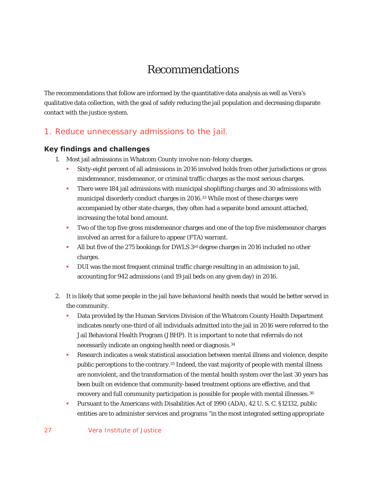# Recommendations

The recommendations that follow are informed by the quantitative data analysis as well as Vera's qualitative data collection, with the goal of safely reducing the jail population and decreasing disparate contact with the justice system.

# 1. Reduce unnecessary admissions to the jail.

# **Key findings and challenges**

- 1. Most jail admissions in Whatcom County involve non-felony charges.
	- Sixty-eight percent of all admissions in 2016 involved holds from other jurisdictions or gross misdemeanor, misdemeanor, or criminal traffic charges as the most serious charges.
	- **There were 184 jail admissions with municipal shoplifting charges and 30 admissions with** municipal disorderly conduct charges in 2016.<sup>33</sup> While most of these charges were accompanied by other state charges, they often had a separate bond amount attached, increasing the total bond amount.
	- **Two of the top five gross misdemeanor charges and one of the top five misdemeanor charges** involved an arrest for a failure to appear (FTA) warrant.
	- All but five of the 275 bookings for DWLS  $3^{rd}$  degree charges in 2016 included no other charges.
	- DUI was the most frequent criminal traffic charge resulting in an admission to jail, accounting for 942 admissions (and 19 jail beds on any given day) in 2016.
- 2. It is likely that some people in the jail have behavioral health needs that would be better served in the community.
	- Data provided by the Human Services Division of the Whatcom County Health Department indicates nearly one-third of all individuals admitted into the jail in 2016 were referred to the Jail Behavioral Health Program (JBHP). It is important to note that referrals do not necessarily indicate an ongoing health need or diagnosis.34
	- Research indicates a weak statistical association between mental illness and violence, despite public perceptions to the contrary.35 Indeed, the vast majority of people with mental illness are nonviolent, and the transformation of the mental health system over the last 30 years has been built on evidence that community-based treatment options are effective, and that recovery and full community participation is possible for people with mental illnesses.36
	- **Pursuant to the Americans with Disabilities Act of 1990 (ADA), 42 U. S. C. §12132, public** entities are to administer services and programs "in the most integrated setting appropriate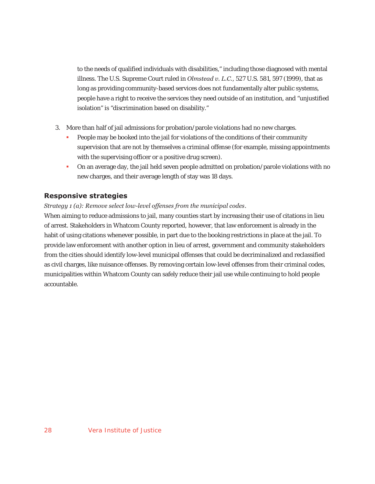to the needs of qualified individuals with disabilities," including those diagnosed with mental illness. The U.S. Supreme Court ruled in *Olmstead v. L.C.*, 527 U.S. 581, 597 (1999), that as long as providing community-based services does not fundamentally alter public systems, people have a right to receive the services they need outside of an institution, and "unjustified isolation" is "discrimination based on disability."

- 3. More than half of jail admissions for probation/parole violations had no new charges.
	- People may be booked into the jail for violations of the conditions of their community supervision that are not by themselves a criminal offense (for example, missing appointments with the supervising officer or a positive drug screen).
	- On an average day, the jail held seven people admitted on probation/parole violations with no new charges, and their average length of stay was 18 days.

## **Responsive strategies**

*Strategy 1 (a): Remove select low-level offenses from the municipal codes*.

When aiming to reduce admissions to jail, many counties start by increasing their use of citations in lieu of arrest. Stakeholders in Whatcom County reported, however, that law enforcement is already in the habit of using citations whenever possible, in part due to the booking restrictions in place at the jail. To provide law enforcement with another option in lieu of arrest, government and community stakeholders from the cities should identify low-level municipal offenses that could be decriminalized and reclassified as civil charges, like nuisance offenses. By removing certain low-level offenses from their criminal codes, municipalities within Whatcom County can safely reduce their jail use while continuing to hold people accountable.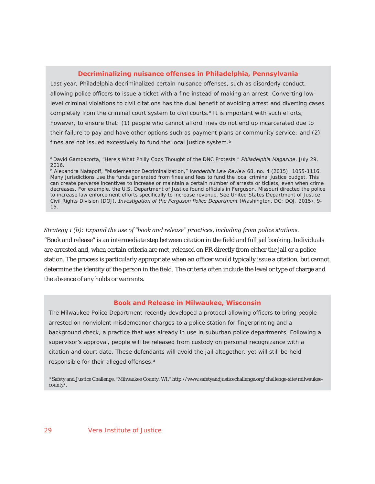#### **Decriminalizing nuisance offenses in Philadelphia, Pennsylvania**

Last year, Philadelphia decriminalized certain nuisance offenses, such as disorderly conduct, allowing police officers to issue a ticket with a fine instead of making an arrest. Converting lowlevel criminal violations to civil citations has the dual benefit of avoiding arrest and diverting cases completely from the criminal court system to civil courts.<sup>a</sup> It is important with such efforts, however, to ensure that: (1) people who cannot afford fines do not end up incarcerated due to their failure to pay and have other options such as payment plans or community service; and (2) fines are not issued excessively to fund the local justice system.<sup>b</sup>

a David Gambacorta, "Here's What Philly Cops Thought of the DNC Protests," *Philadelphia Magazine*, July 29, 2016.

b Alexandra Natapoff, "Misdemeanor Decriminalization," *Vanderbilt Law Review* 68, no. 4 (2015): 1055-1116. Many jurisdictions use the funds generated from fines and fees to fund the local criminal justice budget. This can create perverse incentives to increase or maintain a certain number of arrests or tickets, even when crime decreases. For example, the U.S. Department of Justice found officials in Ferguson, Missouri directed the police to increase law enforcement efforts specifically to increase revenue. See United States Department of Justice Civil Rights Division (DOJ), *Investigation of the Ferguson Police Department* (Washington, DC: DOJ, 2015), 9- 15.

#### *Strategy 1 (b): Expand the use of "book and release" practices, including from police stations.*

"Book and release" is an intermediate step between citation in the field and full jail booking. Individuals are arrested and, when certain criteria are met, released on PR directly from either the jail or a police station. The process is particularly appropriate when an officer would typically issue a citation, but cannot determine the identity of the person in the field. The criteria often include the level or type of charge and the absence of any holds or warrants.

#### **Book and Release in Milwaukee, Wisconsin**

The Milwaukee Police Department recently developed a protocol allowing officers to bring people arrested on nonviolent misdemeanor charges to a police station for fingerprinting and a background check, a practice that was already in use in suburban police departments. Following a supervisor's approval, people will be released from custody on personal recognizance with a citation and court date. These defendants will avoid the jail altogether, yet will still be held responsible for their alleged offenses.<sup>a</sup>

a Safety and Justice Challenge, "Milwaukee County, WI," http://www.safetyandjusticechallenge.org/challenge-site/milwaukeecounty/.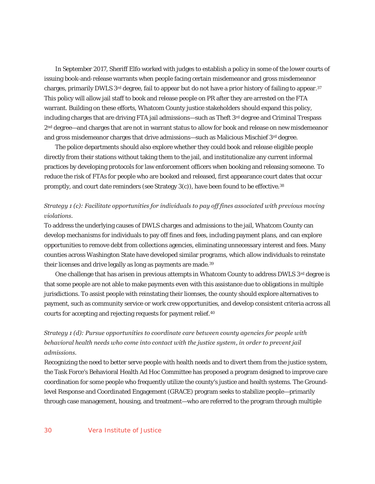In September 2017, Sheriff Elfo worked with judges to establish a policy in some of the lower courts of issuing book-and-release warrants when people facing certain misdemeanor and gross misdemeanor charges, primarily DWLS  $3^{rd}$  degree, fail to appear but do not have a prior history of failing to appear. $37$ This policy will allow jail staff to book and release people on PR after they are arrested on the FTA warrant. Building on these efforts, Whatcom County justice stakeholders should expand this policy, including charges that are driving FTA jail admissions—such as Theft 3rd degree and Criminal Trespass 2nd degree—and charges that are not in warrant status to allow for book and release on new misdemeanor and gross misdemeanor charges that drive admissions—such as Malicious Mischief 3rd degree.

The police departments should also explore whether they could book and release eligible people directly from their stations without taking them to the jail, and institutionalize any current informal practices by developing protocols for law enforcement officers when booking and releasing someone. To reduce the risk of FTAs for people who are booked and released, first appearance court dates that occur promptly, and court date reminders (see Strategy 3(c)), have been found to be effective.38

# *Strategy 1 (c): Facilitate opportunities for individuals to pay off fines associated with previous moving violations.*

To address the underlying causes of DWLS charges and admissions to the jail, Whatcom County can develop mechanisms for individuals to pay off fines and fees, including payment plans, and can explore opportunities to remove debt from collections agencies, eliminating unnecessary interest and fees. Many counties across Washington State have developed similar programs, which allow individuals to reinstate their licenses and drive legally as long as payments are made.39

One challenge that has arisen in previous attempts in Whatcom County to address DWLS 3rd degree is that some people are not able to make payments even with this assistance due to obligations in multiple jurisdictions. To assist people with reinstating their licenses, the county should explore alternatives to payment, such as community service or work crew opportunities, and develop consistent criteria across all courts for accepting and rejecting requests for payment relief.40

# *Strategy 1 (d): Pursue opportunities to coordinate care between county agencies for people with behavioral health needs who come into contact with the justice system, in order to prevent jail admissions.*

Recognizing the need to better serve people with health needs and to divert them from the justice system, the Task Force's Behavioral Health Ad Hoc Committee has proposed a program designed to improve care coordination for some people who frequently utilize the county's justice and health systems. The Groundlevel Response and Coordinated Engagement (GRACE) program seeks to stabilize people—primarily through case management, housing, and treatment—who are referred to the program through multiple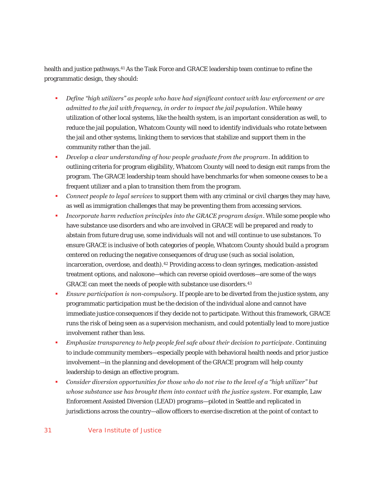health and justice pathways.41 As the Task Force and GRACE leadership team continue to refine the programmatic design, they should:

- *Define "high utilizers" as people who have had significant contact with law enforcement or are admitted to the jail with frequency, in order to impact the jail population*. While heavy utilization of other local systems, like the health system, is an important consideration as well, to reduce the jail population, Whatcom County will need to identify individuals who rotate between the jail and other systems, linking them to services that stabilize and support them in the community rather than the jail.
- *Develop a clear understanding of how people graduate from the program*. In addition to outlining criteria for program eligibility, Whatcom County will need to design exit ramps from the program. The GRACE leadership team should have benchmarks for when someone ceases to be a frequent utilizer and a plan to transition them from the program.
- *Connect people to legal services* to support them with any criminal or civil charges they may have, as well as immigration challenges that may be preventing them from accessing services.
- *Incorporate harm reduction principles into the GRACE program design*. While some people who have substance use disorders and who are involved in GRACE will be prepared and ready to abstain from future drug use, some individuals will not and will continue to use substances. To ensure GRACE is inclusive of both categories of people, Whatcom County should build a program centered on reducing the negative consequences of drug use (such as social isolation, incarceration, overdose, and death).42 Providing access to clean syringes, medication-assisted treatment options, and naloxone—which can reverse opioid overdoses—are some of the ways GRACE can meet the needs of people with substance use disorders.43
- *Ensure participation is non-compulsory*. If people are to be diverted from the justice system, any programmatic participation must be the decision of the individual alone and cannot have immediate justice consequences if they decide not to participate. Without this framework, GRACE runs the risk of being seen as a supervision mechanism, and could potentially lead to more justice involvement rather than less.
- *Emphasize transparency to help people feel safe about their decision to participate*. Continuing to include community members—especially people with behavioral health needs and prior justice involvement—in the planning and development of the GRACE program will help county leadership to design an effective program.
- *Consider diversion opportunities for those who do not rise to the level of a "high utilizer" but whose substance use has brought them into contact with the justice system*. For example, Law Enforcement Assisted Diversion (LEAD) programs—piloted in Seattle and replicated in jurisdictions across the country—allow officers to exercise discretion at the point of contact to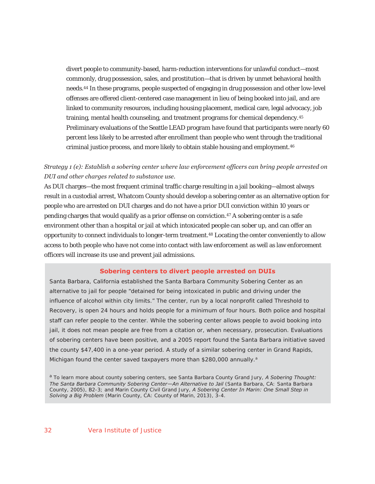divert people to community-based, harm-reduction interventions for unlawful conduct—most commonly, drug possession, sales, and prostitution—that is driven by unmet behavioral health needs.44 In these programs, people suspected of engaging in drug possession and other low-level offenses are offered client-centered case management in lieu of being booked into jail, and are linked to community resources, including housing placement, medical care, legal advocacy, job training, mental health counseling, and treatment programs for chemical dependency.45 Preliminary evaluations of the Seattle LEAD program have found that participants were nearly 60 percent less likely to be arrested after enrollment than people who went through the traditional criminal justice process, and more likely to obtain stable housing and employment.<sup>46</sup>

## *Strategy 1 (e): Establish a sobering center where law enforcement officers can bring people arrested on DUI and other charges related to substance use.*

As DUI charges—the most frequent criminal traffic charge resulting in a jail booking—almost always result in a custodial arrest, Whatcom County should develop a sobering center as an alternative option for people who are arrested on DUI charges and do not have a prior DUI conviction within 10 years or pending charges that would qualify as a prior offense on conviction.47 A sobering center is a safe environment other than a hospital or jail at which intoxicated people can sober up, and can offer an opportunity to connect individuals to longer-term treatment.48 Locating the center conveniently to allow access to both people who have not come into contact with law enforcement as well as law enforcement officers will increase its use and prevent jail admissions.

#### **Sobering centers to divert people arrested on DUIs**

Santa Barbara, California established the Santa Barbara Community Sobering Center as an alternative to jail for people "detained for being intoxicated in public and driving under the influence of alcohol within city limits." The center, run by a local nonprofit called Threshold to Recovery, is open 24 hours and holds people for a minimum of four hours. Both police and hospital staff can refer people to the center. While the sobering center allows people to avoid booking into jail, it does not mean people are free from a citation or, when necessary, prosecution. Evaluations of sobering centers have been positive, and a 2005 report found the Santa Barbara initiative saved the county \$47,400 in a one-year period. A study of a similar sobering center in Grand Rapids, Michigan found the center saved taxpayers more than \$280,000 annually.<sup>a</sup>

a To learn more about county sobering centers, see Santa Barbara County Grand Jury, *A Sobering Thought: The Santa Barbara Community Sobering Center—An Alternative to Jail* (Santa Barbara, CA: Santa Barbara County, 2005), B2-3; and Marin County Civil Grand Jury, *A Sobering Center In Marin: One Small Step in Solving a Big Problem* (Marin County, CA: County of Marin, 2013), 3-4.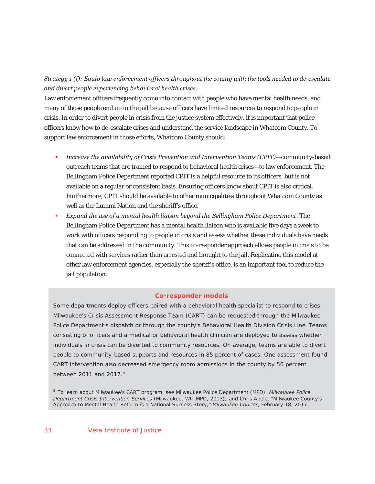*Strategy 1 (f): Equip law enforcement officers throughout the county with the tools needed to de-escalate and divert people experiencing behavioral health crises*.

Law enforcement officers frequently come into contact with people who have mental health needs, and many of those people end up in the jail because officers have limited resources to respond to people in crisis. In order to divert people in crisis from the justice system effectively, it is important that police officers know how to de-escalate crises and understand the service landscape in Whatcom County. To support law enforcement in those efforts, Whatcom County should:

- *Increase the availability of Crisis Prevention and Intervention Teams (CPIT)—*community-based outreach teams that are trained to respond to behavioral health crises—to law enforcement. The Bellingham Police Department reported CPIT is a helpful resource to its officers, but is not available on a regular or consistent basis. Ensuring officers know about CPIT is also critical. Furthermore, CPIT should be available to other municipalities throughout Whatcom County as well as the Lummi Nation and the sheriff's office.
- *Expand the use of a mental health liaison beyond the Bellingham Police Department*. The Bellingham Police Department has a mental health liaison who is available five days a week to work with officers responding to people in crisis and assess whether these individuals have needs that can be addressed in the community. This co-responder approach allows people in crisis to be connected with services rather than arrested and brought to the jail. Replicating this model at other law enforcement agencies, especially the sheriff's office, is an important tool to reduce the jail population.

#### **Co-responder models**

Some departments deploy officers paired with a behavioral health specialist to respond to crises. Milwaukee's Crisis Assessment Response Team (CART) can be requested through the Milwaukee Police Department's dispatch or through the county's Behavioral Health Division Crisis Line. Teams consisting of officers and a medical or behavioral health clinician are deployed to assess whether individuals in crisis can be diverted to community resources. On average, teams are able to divert people to community-based supports and resources in 85 percent of cases. One assessment found CART intervention also decreased emergency room admissions in the county by 50 percent between 2011 and 2017. $a$ 

<sup>a</sup> To learn about Milwaukee's CART program, see Milwaukee Police Department (MPD), *Milwaukee Police Department Crisis Intervention Services* (Milwaukee, WI: MPD, 2013); and Chris Abele, "Milwaukee County's Approach to Mental Health Reform is a National Success Story," *Milwaukee Courier*, February 18, 2017.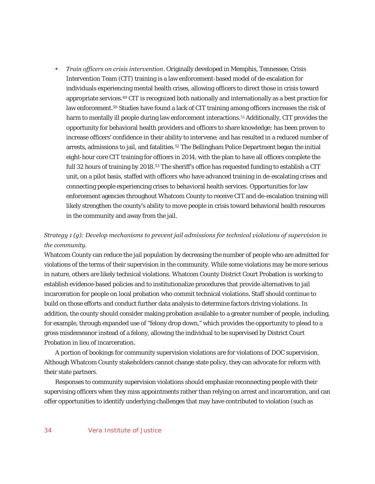*Train officers on crisis intervention*. Originally developed in Memphis, Tennessee, Crisis Intervention Team (CIT) training is a law enforcement-based model of de-escalation for individuals experiencing mental health crises, allowing officers to direct those in crisis toward appropriate services.49 CIT is recognized both nationally and internationally as a best practice for law enforcement.50 Studies have found a lack of CIT training among officers increases the risk of harm to mentally ill people during law enforcement interactions.<sup>51</sup> Additionally, CIT provides the opportunity for behavioral health providers and officers to share knowledge; has been proven to increase officers' confidence in their ability to intervene; and has resulted in a reduced number of arrests, admissions to jail, and fatalities.<sup>52</sup> The Bellingham Police Department began the initial eight-hour core CIT training for officers in 2014, with the plan to have all officers complete the full 32 hours of training by 2018.<sup>53</sup> The sheriff's office has requested funding to establish a CIT unit, on a pilot basis, staffed with officers who have advanced training in de-escalating crises and connecting people experiencing crises to behavioral health services. Opportunities for law enforcement agencies throughout Whatcom County to receive CIT and de-escalation training will likely strengthen the county's ability to move people in crisis toward behavioral health resources in the community and away from the jail.

# *Strategy 1 (g): Develop mechanisms to prevent jail admissions for technical violations of supervision in the community.*

Whatcom County can reduce the jail population by decreasing the number of people who are admitted for violations of the terms of their supervision in the community. While some violations may be more serious in nature, others are likely technical violations. Whatcom County District Court Probation is working to establish evidence-based policies and to institutionalize procedures that provide alternatives to jail incarceration for people on local probation who commit technical violations. Staff should continue to build on those efforts and conduct further data analysis to determine factors driving violations. In addition, the county should consider making probation available to a greater number of people, including, for example, through expanded use of "felony drop down," which provides the opportunity to plead to a gross misdemeanor instead of a felony, allowing the individual to be supervised by District Court Probation in lieu of incarceration.

A portion of bookings for community supervision violations are for violations of DOC supervision. Although Whatcom County stakeholders cannot change state policy, they can advocate for reform with their state partners.

Responses to community supervision violations should emphasize reconnecting people with their supervising officers when they miss appointments rather than relying on arrest and incarceration, and can offer opportunities to identify underlying challenges that may have contributed to violation (such as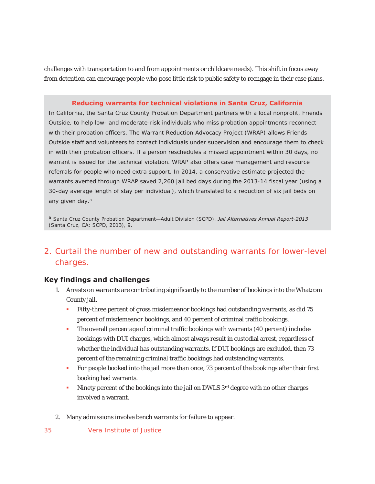challenges with transportation to and from appointments or childcare needs). This shift in focus away from detention can encourage people who pose little risk to public safety to reengage in their case plans.

### **Reducing warrants for technical violations in Santa Cruz, California**

In California, the Santa Cruz County Probation Department partners with a local nonprofit, Friends Outside, to help low- and moderate-risk individuals who miss probation appointments reconnect with their probation officers. The Warrant Reduction Advocacy Project (WRAP) allows Friends Outside staff and volunteers to contact individuals under supervision and encourage them to check in with their probation officers. If a person reschedules a missed appointment within 30 days, no warrant is issued for the technical violation. WRAP also offers case management and resource referrals for people who need extra support. In 2014, a conservative estimate projected the warrants averted through WRAP saved 2,260 jail bed days during the 2013-14 fiscal year (using a 30-day average length of stay per individual), which translated to a reduction of six jail beds on any given day.<sup>a</sup>

<sup>a</sup> Santa Cruz County Probation Department—Adult Division (SCPD), *Jail Alternatives Annual Report-2013* (Santa Cruz, CA: SCPD, 2013), 9.

# 2. Curtail the number of new and outstanding warrants for lower-level charges.

## **Key findings and challenges**

- 1. Arrests on warrants are contributing significantly to the number of bookings into the Whatcom County jail.
	- Fifty-three percent of gross misdemeanor bookings had outstanding warrants, as did 75 percent of misdemeanor bookings, and 40 percent of criminal traffic bookings.
	- The overall percentage of criminal traffic bookings with warrants (40 percent) includes bookings with DUI charges, which almost always result in custodial arrest, regardless of whether the individual has outstanding warrants. If DUI bookings are excluded, then 73 percent of the remaining criminal traffic bookings had outstanding warrants.
	- For people booked into the jail more than once, 73 percent of the bookings after their first booking had warrants.
	- Ninety percent of the bookings into the jail on DWLS  $3^{rd}$  degree with no other charges involved a warrant.
- 2. Many admissions involve bench warrants for failure to appear.
- 35 Vera Institute of Justice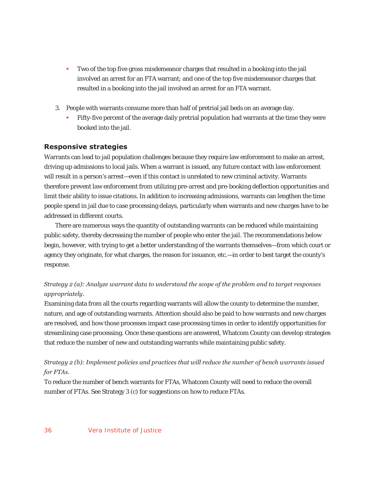- Two of the top five gross misdemeanor charges that resulted in a booking into the jail involved an arrest for an FTA warrant; and one of the top five misdemeanor charges that resulted in a booking into the jail involved an arrest for an FTA warrant.
- 3. People with warrants consume more than half of pretrial jail beds on an average day.
	- Fifty-five percent of the average daily pretrial population had warrants at the time they were booked into the jail.

### **Responsive strategies**

Warrants can lead to jail population challenges because they require law enforcement to make an arrest, driving up admissions to local jails. When a warrant is issued, any future contact with law enforcement will result in a person's arrest—even if this contact is unrelated to new criminal activity. Warrants therefore prevent law enforcement from utilizing pre-arrest and pre-booking deflection opportunities and limit their ability to issue citations. In addition to increasing admissions, warrants can lengthen the time people spend in jail due to case processing delays, particularly when warrants and new charges have to be addressed in different courts.

There are numerous ways the quantity of outstanding warrants can be reduced while maintaining public safety, thereby decreasing the number of people who enter the jail. The recommendations below begin, however, with trying to get a better understanding of the warrants themselves—from which court or agency they originate, for what charges, the reason for issuance, etc.—in order to best target the county's response.

## *Strategy 2 (a): Analyze warrant data to understand the scope of the problem and to target responses appropriately*.

Examining data from all the courts regarding warrants will allow the county to determine the number, nature, and age of outstanding warrants. Attention should also be paid to how warrants and new charges are resolved, and how those processes impact case processing times in order to identify opportunities for streamlining case processing. Once these questions are answered, Whatcom County can develop strategies that reduce the number of new and outstanding warrants while maintaining public safety.

*Strategy 2 (b): Implement policies and practices that will reduce the number of bench warrants issued for FTAs.* 

To reduce the number of bench warrants for FTAs, Whatcom County will need to reduce the overall number of FTAs. See Strategy 3 (c) for suggestions on how to reduce FTAs.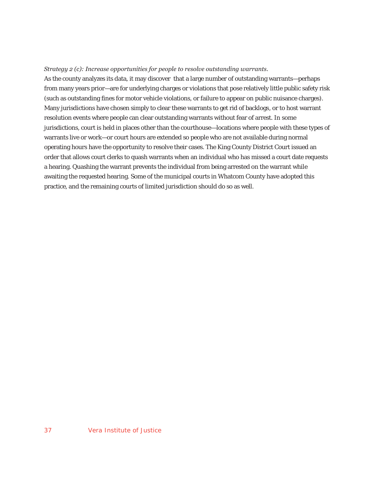#### *Strategy 2 (c): Increase opportunities for people to resolve outstanding warrants.*

As the county analyzes its data, it may discover that a large number of outstanding warrants—perhaps from many years prior—are for underlying charges or violations that pose relatively little public safety risk (such as outstanding fines for motor vehicle violations, or failure to appear on public nuisance charges). Many jurisdictions have chosen simply to clear these warrants to get rid of backlogs, or to host warrant resolution events where people can clear outstanding warrants without fear of arrest. In some jurisdictions, court is held in places other than the courthouse—locations where people with these types of warrants live or work—or court hours are extended so people who are not available during normal operating hours have the opportunity to resolve their cases. The King County District Court issued an order that allows court clerks to quash warrants when an individual who has missed a court date requests a hearing. Quashing the warrant prevents the individual from being arrested on the warrant while awaiting the requested hearing. Some of the municipal courts in Whatcom County have adopted this practice, and the remaining courts of limited jurisdiction should do so as well.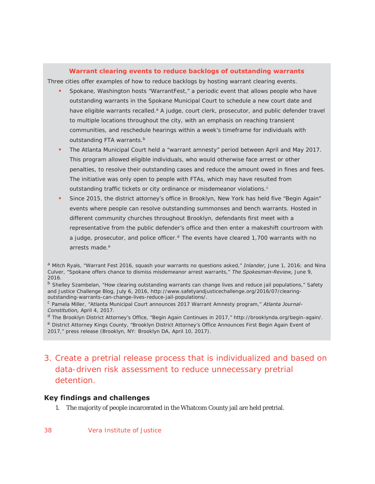#### **Warrant clearing events to reduce backlogs of outstanding warrants**

Three cities offer examples of how to reduce backlogs by hosting warrant clearing events.

- Spokane, Washington hosts "WarrantFest," a periodic event that allows people who have outstanding warrants in the Spokane Municipal Court to schedule a new court date and have eligible warrants recalled.<sup>a</sup> A judge, court clerk, prosecutor, and public defender travel to multiple locations throughout the city, with an emphasis on reaching transient communities, and reschedule hearings within a week's timeframe for individuals with outstanding FTA warrants.<sup>b</sup>
- The Atlanta Municipal Court held a "warrant amnesty" period between April and May 2017. This program allowed eligible individuals, who would otherwise face arrest or other penalties, to resolve their outstanding cases and reduce the amount owed in fines and fees. The initiative was only open to people with FTAs, which may have resulted from outstanding traffic tickets or city ordinance or misdemeanor violations.<sup>c</sup>
- Since 2015, the district attorney's office in Brooklyn, New York has held five "Begin Again" events where people can resolve outstanding summonses and bench warrants. Hosted in different community churches throughout Brooklyn, defendants first meet with a representative from the public defender's office and then enter a makeshift courtroom with a judge, prosecutor, and police officer. $d$  The events have cleared 1,700 warrants with no arrests made<sup>e</sup>

b Shelley Szambelan, "How clearing outstanding warrants can change lives and reduce jail populations," Safety and Justice Challenge Blog, July 6, 2016, http://www.safetyandjusticechallenge.org/2016/07/clearingoutstanding-warrants-can-change-lives-reduce-jail-populations/.

<sup>d</sup> The Brooklyn District Attorney's Office, "Begin Again Continues in 2017," http://brooklynda.org/begin-again/. <sup>e</sup> District Attorney Kings County, "Brooklyn District Attorney's Office Announces First Begin Again Event of 2017," press release (Brooklyn, NY: Brooklyn DA, April 10, 2017).

# 3. Create a pretrial release process that is individualized and based on data-driven risk assessment to reduce unnecessary pretrial detention.

#### **Key findings and challenges**

1. The majority of people incarcerated in the Whatcom County jail are held pretrial.

<sup>a</sup> Mitch Ryals, "Warrant Fest 2016, squash your warrants no questions asked," *Inlander,* June 1, 2016; and Nina Culver, "Spokane offers chance to dismiss misdemeanor arrest warrants," *The Spokesman-Review,* June 9, 2016.

<sup>c</sup> Pamela Miller, "Atlanta Municipal Court announces 2017 Warrant Amnesty program," *Atlanta Journal-Constitution,* April 4, 2017.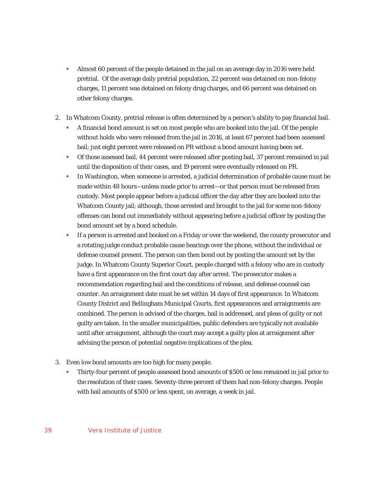- Almost 60 percent of the people detained in the jail on an average day in 2016 were held pretrial. Of the average daily pretrial population, 22 percent was detained on non-felony charges, 11 percent was detained on felony drug charges, and 66 percent was detained on other felony charges.
- 2. In Whatcom County, pretrial release is often determined by a person's ability to pay financial bail.
	- A financial bond amount is set on most people who are booked into the jail. Of the people without holds who were released from the jail in 2016, at least 67 percent had been assessed bail; just eight percent were released on PR without a bond amount having been set.
	- Of those assessed bail, 44 percent were released after posting bail, 37 percent remained in jail until the disposition of their cases, and 19 percent were eventually released on PR.
	- In Washington, when someone is arrested, a judicial determination of probable cause must be made within 48 hours—unless made prior to arrest—or that person must be released from custody. Most people appear before a judicial officer the day after they are booked into the Whatcom County jail; although, those arrested and brought to the jail for some non-felony offenses can bond out immediately without appearing before a judicial officer by posting the bond amount set by a bond schedule.
	- **If a person is arrested and booked on a Friday or over the weekend, the county prosecutor and** a rotating judge conduct probable cause hearings over the phone, without the individual or defense counsel present. The person can then bond out by posting the amount set by the judge. In Whatcom County Superior Court, people charged with a felony who are in custody have a first appearance on the first court day after arrest. The prosecutor makes a recommendation regarding bail and the conditions of release, and defense counsel can counter. An arraignment date must be set within 14 days of first appearance. In Whatcom County District and Bellingham Municipal Courts, first appearances and arraignments are combined. The person is advised of the charges, bail is addressed, and pleas of guilty or not guilty are taken. In the smaller municipalities, public defenders are typically not available until after arraignment, although the court may accept a guilty plea at arraignment after advising the person of potential negative implications of the plea.
- 3. Even low bond amounts are too high for many people.
	- Thirty-four percent of people assessed bond amounts of \$500 or less remained in jail prior to the resolution of their cases. Seventy-three percent of them had non-felony charges. People with bail amounts of \$500 or less spent, on average, a week in jail.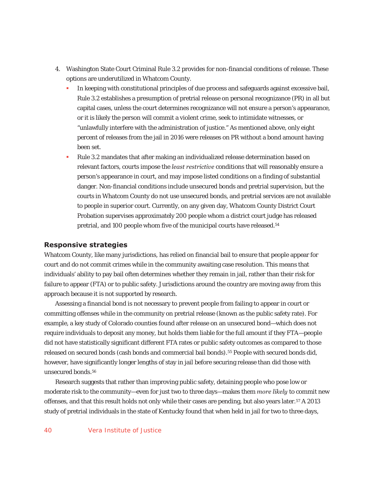- 4. Washington State Court Criminal Rule 3.2 provides for non-financial conditions of release. These options are underutilized in Whatcom County.
	- In keeping with constitutional principles of due process and safeguards against excessive bail, Rule 3.2 establishes a presumption of pretrial release on personal recognizance (PR) in all but capital cases, unless the court determines recognizance will not ensure a person's appearance, or it is likely the person will commit a violent crime, seek to intimidate witnesses, or "unlawfully interfere with the administration of justice." As mentioned above, only eight percent of releases from the jail in 2016 were releases on PR without a bond amount having been set.
	- Rule 3.2 mandates that after making an individualized release determination based on relevant factors, courts impose the *least restrictive* conditions that will reasonably ensure a person's appearance in court, and may impose listed conditions on a finding of substantial danger. Non-financial conditions include unsecured bonds and pretrial supervision, but the courts in Whatcom County do not use unsecured bonds, and pretrial services are not available to people in superior court. Currently, on any given day, Whatcom County District Court Probation supervises approximately 200 people whom a district court judge has released pretrial, and 100 people whom five of the municipal courts have released.<sup>54</sup>

#### **Responsive strategies**

Whatcom County, like many jurisdictions, has relied on financial bail to ensure that people appear for court and do not commit crimes while in the community awaiting case resolution. This means that individuals' ability to pay bail often determines whether they remain in jail, rather than their risk for failure to appear (FTA) or to public safety. Jurisdictions around the country are moving away from this approach because it is not supported by research.

Assessing a financial bond is not necessary to prevent people from failing to appear in court or committing offenses while in the community on pretrial release (known as the public safety rate). For example, a key study of Colorado counties found after release on an unsecured bond—which does not require individuals to deposit any money, but holds them liable for the full amount if they FTA—people did not have statistically significant different FTA rates or public safety outcomes as compared to those released on secured bonds (cash bonds and commercial bail bonds).<sup>55</sup> People with secured bonds did, however, have significantly longer lengths of stay in jail before securing release than did those with unsecured bonds.56

Research suggests that rather than improving public safety, detaining people who pose low or moderate risk to the community—even for just two to three days—makes them *more likely* to commit new offenses, and that this result holds not only while their cases are pending, but also years later.57 A 2013 study of pretrial individuals in the state of Kentucky found that when held in jail for two to three days,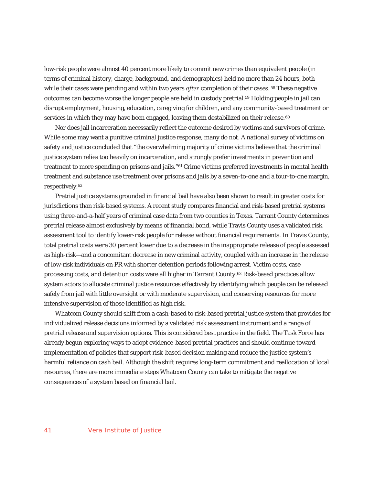low-risk people were almost 40 percent more likely to commit new crimes than equivalent people (in terms of criminal history, charge, background, and demographics) held no more than 24 hours, both while their cases were pending and within two years *after* completion of their cases. 58 These negative outcomes can become worse the longer people are held in custody pretrial.59 Holding people in jail can disrupt employment, housing, education, caregiving for children, and any community-based treatment or services in which they may have been engaged, leaving them destabilized on their release.<sup>60</sup>

Nor does jail incarceration necessarily reflect the outcome desired by victims and survivors of crime. While some may want a punitive criminal justice response, many do not. A national survey of victims on safety and justice concluded that "the overwhelming majority of crime victims believe that the criminal justice system relies too heavily on incarceration, and strongly prefer investments in prevention and treatment to more spending on prisons and jails."61 Crime victims preferred investments in mental health treatment and substance use treatment over prisons and jails by a seven-to-one and a four-to-one margin, respectively.62

Pretrial justice systems grounded in financial bail have also been shown to result in greater costs for jurisdictions than risk-based systems. A recent study compares financial and risk-based pretrial systems using three-and-a-half years of criminal case data from two counties in Texas. Tarrant County determines pretrial release almost exclusively by means of financial bond, while Travis County uses a validated risk assessment tool to identify lower-risk people for release without financial requirements. In Travis County, total pretrial costs were 30 percent lower due to a decrease in the inappropriate release of people assessed as high-risk—and a concomitant decrease in new criminal activity, coupled with an increase in the release of low-risk individuals on PR with shorter detention periods following arrest. Victim costs, case processing costs, and detention costs were all higher in Tarrant County.63 Risk-based practices allow system actors to allocate criminal justice resources effectively by identifying which people can be released safely from jail with little oversight or with moderate supervision, and conserving resources for more intensive supervision of those identified as high risk.

Whatcom County should shift from a cash-based to risk-based pretrial justice system that provides for individualized release decisions informed by a validated risk assessment instrument and a range of pretrial release and supervision options. This is considered best practice in the field. The Task Force has already begun exploring ways to adopt evidence-based pretrial practices and should continue toward implementation of policies that support risk-based decision making and reduce the justice system's harmful reliance on cash bail. Although the shift requires long-term commitment and reallocation of local resources, there are more immediate steps Whatcom County can take to mitigate the negative consequences of a system based on financial bail.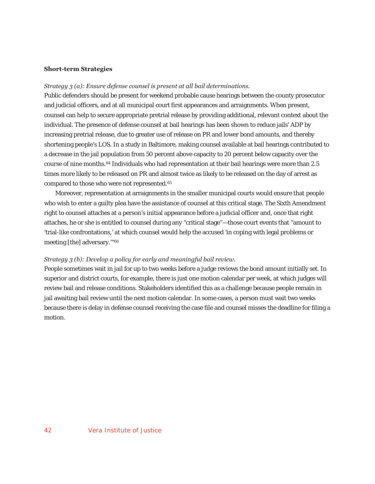#### **Short-term Strategies**

#### *Strategy 3 (a): Ensure defense counsel is present at all bail determinations.*

Public defenders should be present for weekend probable cause hearings between the county prosecutor and judicial officers, and at all municipal court first appearances and arraignments. When present, counsel can help to secure appropriate pretrial release by providing additional, relevant context about the individual. The presence of defense counsel at bail hearings has been shown to reduce jails' ADP by increasing pretrial release, due to greater use of release on PR and lower bond amounts, and thereby shortening people's LOS. In a study in Baltimore, making counsel available at bail hearings contributed to a decrease in the jail population from 50 percent above capacity to 20 percent below capacity over the course of nine months.64 Individuals who had representation at their bail hearings were more than 2.5 times more likely to be released on PR and almost twice as likely to be released on the day of arrest as compared to those who were not represented.65

Moreover, representation at arraignments in the smaller municipal courts would ensure that people who wish to enter a guilty plea have the assistance of counsel at this critical stage. The Sixth Amendment right to counsel attaches at a person's initial appearance before a judicial officer and, once that right attaches, he or she is entitled to counsel during any "critical stage"—those court events that "amount to 'trial-like confrontations,' at which counsel would help the accused 'in coping with legal problems or meeting [the] adversary."<sup>66</sup>

#### *Strategy 3 (b): Develop a policy for early and meaningful bail review.*

People sometimes wait in jail for up to two weeks before a judge reviews the bond amount initially set. In superior and district courts, for example, there is just one motion calendar per week, at which judges will review bail and release conditions. Stakeholders identified this as a challenge because people remain in jail awaiting bail review until the next motion calendar. In some cases, a person must wait two weeks because there is delay in defense counsel receiving the case file and counsel misses the deadline for filing a motion.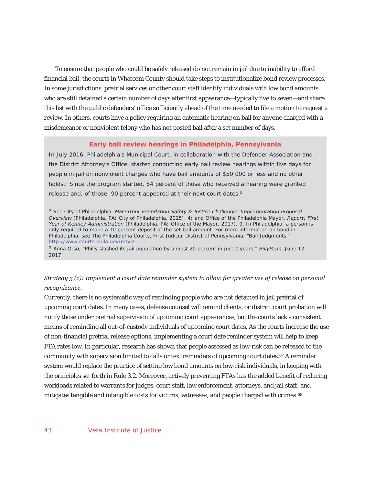To ensure that people who could be safely released do not remain in jail due to inability to afford financial bail, the courts in Whatcom County should take steps to institutionalize bond review processes. In some jurisdictions, pretrial services or other court staff identify individuals with low bond amounts who are still detained a certain number of days after first appearance—typically five to seven—and share this list with the public defenders' office sufficiently ahead of the time needed to file a motion to request a review. In others, courts have a policy requiring an automatic hearing on bail for anyone charged with a misdemeanor or nonviolent felony who has not posted bail after a set number of days.

#### **Early bail review hearings in Philadelphia, Pennsylvania**

In July 2016, Philadelphia's Municipal Court, in collaboration with the Defender Association and the District Attorney's Office, started conducting early bail review hearings within five days for people in jail on nonviolent charges who have bail amounts of \$50,000 or less and no other holds.<sup>a</sup> Since the program started, 84 percent of those who received a hearing were granted release and, of those, 90 percent appeared at their next court dates.<sup>b</sup>

<sup>a</sup> See City of Philadelphia, *MacArthur Foundation Safety & Justice Challenge: Implementation Proposal Overview* (Philadelphia, PA: City of Philadelphia, 2015), 4; and Office of the Philadelphia Mayor, *Report: First Year of Kenney Administration* (Philadelphia, PA: Office of the Mayor, 2017), 9. In Philadelphia, a person is only required to make a 10 percent deposit of the set bail amount. For more information on bond in Philadelphia, see The Philadelphia Courts, First Judicial District of Pennsylvania, "Bail Judgments," http://www.courts.phila.gov/mtvr/.

<sup>b</sup> Anna Orso, "Philly slashed its jail population by almost 20 percent in just 2 years," *BillyPenn*, June 12, 2017.

*Strategy 3 (c): Implement a court date reminder system to allow for greater use of release on personal recognizance.* 

Currently, there is no systematic way of reminding people who are not detained in jail pretrial of upcoming court dates. In many cases, defense counsel will remind clients, or district court probation will notify those under pretrial supervision of upcoming court appearances, but the courts lack a consistent means of reminding all out-of-custody individuals of upcoming court dates. As the courts increase the use of non-financial pretrial release options, implementing a court date reminder system will help to keep FTA rates low. In particular, research has shown that people assessed as low-risk can be released to the community with supervision limited to calls or text reminders of upcoming court dates.<sup>67</sup> A reminder system would replace the practice of setting low bond amounts on low-risk individuals, in keeping with the principles set forth in Rule 3.2. Moreover, actively preventing FTAs has the added benefit of reducing workloads related to warrants for judges, court staff, law enforcement, attorneys, and jail staff; and mitigates tangible and intangible costs for victims, witnesses, and people charged with crimes.68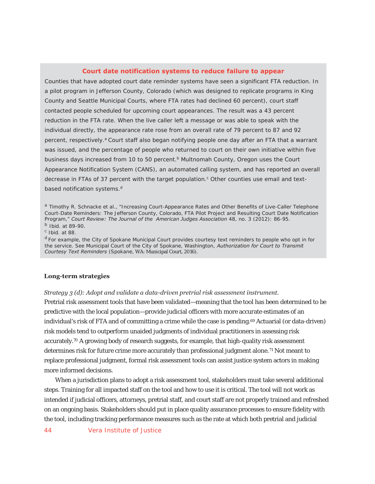#### **Court date notification systems to reduce failure to appear**

Counties that have adopted court date reminder systems have seen a significant FTA reduction. In a pilot program in Jefferson County, Colorado (which was designed to replicate programs in King County and Seattle Municipal Courts, where FTA rates had declined 60 percent), court staff contacted people scheduled for upcoming court appearances. The result was a 43 percent reduction in the FTA rate. When the live caller left a message or was able to speak with the individual directly, the appearance rate rose from an overall rate of 79 percent to 87 and 92 percent, respectively.<sup>a</sup> Court staff also began notifying people one day after an FTA that a warrant was issued, and the percentage of people who returned to court on their own initiative within five business days increased from 10 to 50 percent.<sup>b</sup> Multnomah County, Oregon uses the Court Appearance Notification System (CANS), an automated calling system, and has reported an overall decrease in FTAs of 37 percent with the target population.<sup>c</sup> Other counties use email and textbased notification systems.<sup>d</sup>

<sup>a</sup> Timothy R. Schnacke et al., "Increasing Court-Appearance Rates and Other Benefits of Live-Caller Telephone Court-Date Reminders: The Jefferson County, Colorado, FTA Pilot Project and Resulting Court Date Notification Program," Court Review: The Journal of the American Judges Association 48, no. 3 (2012): 86-95.

 $\frac{b}{c}$  Ibid. at 89-90.

<sup>d</sup> For example, the City of Spokane Municipal Court provides courtesy text reminders to people who opt in for the service. See Municipal Court of the City of Spokane, Washington, *Authorization for Court to Transmit Courtesy Text Reminders* (Spokane, WA: Municipal Court, 2016).

#### **Long-term strategies**

*Strategy 3 (d): Adopt and validate a data-driven pretrial risk assessment instrument.*  Pretrial risk assessment tools that have been validated—meaning that the tool has been determined to be predictive with the local population—provide judicial officers with more accurate estimates of an individual's risk of FTA and of committing a crime while the case is pending.<sup>69</sup> Actuarial (or data-driven) risk models tend to outperform unaided judgments of individual practitioners in assessing risk accurately.70 A growing body of research suggests, for example, that high-quality risk assessment determines risk for future crime more accurately than professional judgment alone.<sup>71</sup> Not meant to replace professional judgment, formal risk assessment tools can assist justice system actors in making more informed decisions.

When a jurisdiction plans to adopt a risk assessment tool, stakeholders must take several additional steps. Training for all impacted staff on the tool and how to use it is critical. The tool will not work as intended if judicial officers, attorneys, pretrial staff, and court staff are not properly trained and refreshed on an ongoing basis. Stakeholders should put in place quality assurance processes to ensure fidelity with the tool, including tracking performance measures such as the rate at which both pretrial and judicial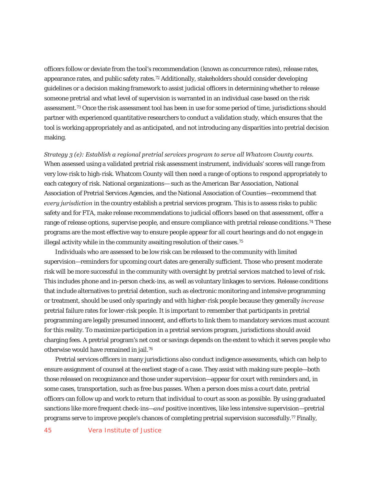officers follow or deviate from the tool's recommendation (known as concurrence rates), release rates, appearance rates, and public safety rates.72 Additionally, stakeholders should consider developing guidelines or a decision making framework to assist judicial officers in determining whether to release someone pretrial and what level of supervision is warranted in an individual case based on the risk assessment.73 Once the risk assessment tool has been in use for some period of time, jurisdictions should partner with experienced quantitative researchers to conduct a validation study, which ensures that the tool is working appropriately and as anticipated, and not introducing any disparities into pretrial decision making.

*Strategy 3 (e): Establish a regional pretrial services program to serve all Whatcom County courts.*  When assessed using a validated pretrial risk assessment instrument, individuals' scores will range from very low-risk to high-risk. Whatcom County will then need a range of options to respond appropriately to each category of risk. National organizations— such as the American Bar Association, National Association of Pretrial Services Agencies, and the National Association of Counties—recommend that *every jurisdiction* in the country establish a pretrial services program. This is to assess risks to public safety and for FTA, make release recommendations to judicial officers based on that assessment, offer a range of release options, supervise people, and ensure compliance with pretrial release conditions.<sup>74</sup> These programs are the most effective way to ensure people appear for all court hearings and do not engage in illegal activity while in the community awaiting resolution of their cases.<sup>75</sup>

Individuals who are assessed to be low risk can be released to the community with limited supervision—reminders for upcoming court dates are generally sufficient. Those who present moderate risk will be more successful in the community with oversight by pretrial services matched to level of risk. This includes phone and in-person check-ins, as well as voluntary linkages to services. Release conditions that include alternatives to pretrial detention, such as electronic monitoring and intensive programming or treatment, should be used only sparingly and with higher-risk people because they generally *increase*  pretrial failure rates for lower-risk people. It is important to remember that participants in pretrial programming are legally presumed innocent, and efforts to link them to mandatory services must account for this reality. To maximize participation in a pretrial services program, jurisdictions should avoid charging fees. A pretrial program's net cost or savings depends on the extent to which it serves people who otherwise would have remained in jail.76

Pretrial services officers in many jurisdictions also conduct indigence assessments, which can help to ensure assignment of counsel at the earliest stage of a case. They assist with making sure people—both those released on recognizance and those under supervision—appear for court with reminders and, in some cases, transportation, such as free bus passes. When a person does miss a court date, pretrial officers can follow up and work to return that individual to court as soon as possible. By using graduated sanctions like more frequent check-ins—*and* positive incentives, like less intensive supervision—pretrial programs serve to improve people's chances of completing pretrial supervision successfully.77 Finally,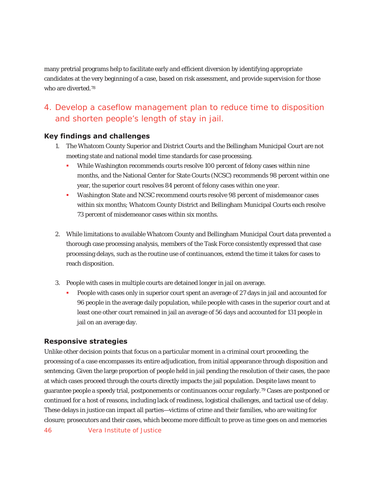many pretrial programs help to facilitate early and efficient diversion by identifying appropriate candidates at the very beginning of a case, based on risk assessment, and provide supervision for those who are diverted.<sup>78</sup>

# 4. Develop a caseflow management plan to reduce time to disposition and shorten people's length of stay in jail.

### **Key findings and challenges**

- 1. The Whatcom County Superior and District Courts and the Bellingham Municipal Court are not meeting state and national model time standards for case processing.
	- While Washington recommends courts resolve 100 percent of felony cases within nine months, and the National Center for State Courts (NCSC) recommends 98 percent within one year, the superior court resolves 84 percent of felony cases within one year.
	- Washington State and NCSC recommend courts resolve 98 percent of misdemeanor cases within six months; Whatcom County District and Bellingham Municipal Courts each resolve 73 percent of misdemeanor cases within six months.
- 2. While limitations to available Whatcom County and Bellingham Municipal Court data prevented a thorough case processing analysis, members of the Task Force consistently expressed that case processing delays, such as the routine use of continuances, extend the time it takes for cases to reach disposition.
- 3. People with cases in multiple courts are detained longer in jail on average.
	- People with cases only in superior court spent an average of 27 days in jail and accounted for 96 people in the average daily population, while people with cases in the superior court and at least one other court remained in jail an average of 56 days and accounted for 131 people in jail on an average day.

### **Responsive strategies**

Unlike other decision points that focus on a particular moment in a criminal court proceeding, the processing of a case encompasses its entire adjudication, from initial appearance through disposition and sentencing. Given the large proportion of people held in jail pending the resolution of their cases, the pace at which cases proceed through the courts directly impacts the jail population. Despite laws meant to guarantee people a speedy trial, postponements or continuances occur regularly.79 Cases are postponed or continued for a host of reasons, including lack of readiness, logistical challenges, and tactical use of delay. These delays in justice can impact all parties—victims of crime and their families, who are waiting for closure; prosecutors and their cases, which become more difficult to prove as time goes on and memories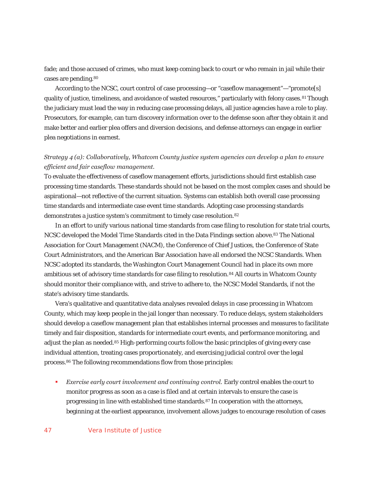fade; and those accused of crimes, who must keep coming back to court or who remain in jail while their cases are pending.80

According to the NCSC, court control of case processing—or "caseflow management"—"promote[s] quality of justice, timeliness, and avoidance of wasted resources," particularly with felony cases.<sup>81</sup> Though the judiciary must lead the way in reducing case processing delays, all justice agencies have a role to play. Prosecutors, for example, can turn discovery information over to the defense soon after they obtain it and make better and earlier plea offers and diversion decisions, and defense attorneys can engage in earlier plea negotiations in earnest.

### *Strategy 4 (a): Collaboratively, Whatcom County justice system agencies can develop a plan to ensure efficient and fair caseflow management.*

To evaluate the effectiveness of caseflow management efforts, jurisdictions should first establish case processing time standards. These standards should not be based on the most complex cases and should be aspirational—not reflective of the current situation. Systems can establish both overall case processing time standards and intermediate case event time standards. Adopting case processing standards demonstrates a justice system's commitment to timely case resolution.82

In an effort to unify various national time standards from case filing to resolution for state trial courts, NCSC developed the Model Time Standards cited in the Data Findings section above.83 The National Association for Court Management (NACM), the Conference of Chief Justices, the Conference of State Court Administrators, and the American Bar Association have all endorsed the NCSC Standards. When NCSC adopted its standards, the Washington Court Management Council had in place its own more ambitious set of advisory time standards for case filing to resolution.<sup>84</sup> All courts in Whatcom County should monitor their compliance with, and strive to adhere to, the NCSC Model Standards, if not the state's advisory time standards.

Vera's qualitative and quantitative data analyses revealed delays in case processing in Whatcom County, which may keep people in the jail longer than necessary. To reduce delays, system stakeholders should develop a caseflow management plan that establishes internal processes and measures to facilitate timely and fair disposition, standards for intermediate court events, and performance monitoring, and adjust the plan as needed.<sup>85</sup> High-performing courts follow the basic principles of giving every case individual attention, treating cases proportionately, and exercising judicial control over the legal process.86 The following recommendations flow from those principles:

**Exercise early court involvement and continuing control. Early control enables the court to** monitor progress as soon as a case is filed and at certain intervals to ensure the case is progressing in line with established time standards.87 In cooperation with the attorneys, beginning at the earliest appearance, involvement allows judges to encourage resolution of cases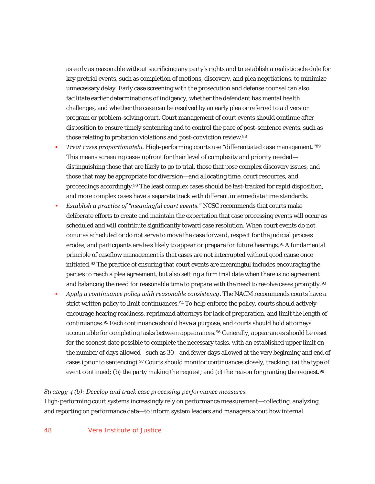as early as reasonable without sacrificing any party's rights and to establish a realistic schedule for key pretrial events, such as completion of motions, discovery, and plea negotiations, to minimize unnecessary delay. Early case screening with the prosecution and defense counsel can also facilitate earlier determinations of indigency, whether the defendant has mental health challenges, and whether the case can be resolved by an early plea or referred to a diversion program or problem-solving court. Court management of court events should continue after disposition to ensure timely sentencing and to control the pace of post-sentence events, such as those relating to probation violations and post-conviction review.<sup>88</sup>

- *Treat cases proportionately.* High-performing courts use "differentiated case management."89 This means screening cases upfront for their level of complexity and priority needed distinguishing those that are likely to go to trial, those that pose complex discovery issues, and those that may be appropriate for diversion—and allocating time, court resources, and proceedings accordingly.90 The least complex cases should be fast-tracked for rapid disposition, and more complex cases have a separate track with different intermediate time standards.
- *Establish a practice of "meaningful court events."* NCSC recommends that courts make deliberate efforts to create and maintain the expectation that case processing events will occur as scheduled and will contribute significantly toward case resolution. When court events do not occur as scheduled or do not serve to move the case forward, respect for the judicial process erodes, and participants are less likely to appear or prepare for future hearings.<sup>91</sup> A fundamental principle of caseflow management is that cases are not interrupted without good cause once initiated.92 The practice of ensuring that court events are meaningful includes encouraging the parties to reach a plea agreement, but also setting a firm trial date when there is no agreement and balancing the need for reasonable time to prepare with the need to resolve cases promptly.<sup>93</sup>
- *Apply a continuance policy with reasonable consistency*. The NACM recommends courts have a strict written policy to limit continuances.<sup>94</sup> To help enforce the policy, courts should actively encourage hearing readiness, reprimand attorneys for lack of preparation, and limit the length of continuances.95 Each continuance should have a purpose, and courts should hold attorneys accountable for completing tasks between appearances.<sup>96</sup> Generally, appearances should be reset for the soonest date possible to complete the necessary tasks, with an established upper limit on the number of days allowed—such as 30—and fewer days allowed at the very beginning and end of cases (prior to sentencing).97 Courts should monitor continuances closely, tracking: (a) the type of event continued; (b) the party making the request; and (c) the reason for granting the request.<sup>98</sup>

### *Strategy 4 (b): Develop and track case processing performance measures.*

High-performing court systems increasingly rely on performance measurement—collecting, analyzing, and reporting on performance data—to inform system leaders and managers about how internal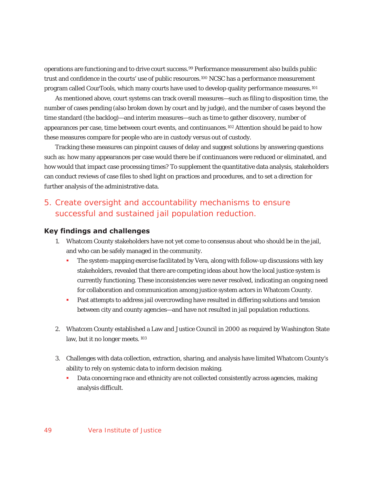operations are functioning and to drive court success.99 Performance measurement also builds public trust and confidence in the courts' use of public resources.100 NCSC has a performance measurement program called CourTools, which many courts have used to develop quality performance measures.101

As mentioned above, court systems can track overall measures—such as filing to disposition time, the number of cases pending (also broken down by court and by judge), and the number of cases beyond the time standard (the backlog)—and interim measures—such as time to gather discovery, number of appearances per case, time between court events, and continuances.102 Attention should be paid to how these measures compare for people who are in custody versus out of custody.

Tracking these measures can pinpoint causes of delay and suggest solutions by answering questions such as: how many appearances per case would there be if continuances were reduced or eliminated, and how would that impact case processing times? To supplement the quantitative data analysis, stakeholders can conduct reviews of case files to shed light on practices and procedures, and to set a direction for further analysis of the administrative data.

# 5. Create oversight and accountability mechanisms to ensure successful and sustained jail population reduction.

#### **Key findings and challenges**

- 1. Whatcom County stakeholders have not yet come to consensus about who should be in the jail, and who can be safely managed in the community.
	- The system-mapping exercise facilitated by Vera, along with follow-up discussions with key stakeholders, revealed that there are competing ideas about how the local justice system is currently functioning. These inconsistencies were never resolved, indicating an ongoing need for collaboration and communication among justice system actors in Whatcom County.
	- **Past attempts to address jail overcrowding have resulted in differing solutions and tension** between city and county agencies—and have not resulted in jail population reductions.
- 2. Whatcom County established a Law and Justice Council in 2000 as required by Washington State law, but it no longer meets.<sup>103</sup>
- 3. Challenges with data collection, extraction, sharing, and analysis have limited Whatcom County's ability to rely on systemic data to inform decision making.
	- **Data concerning race and ethnicity are not collected consistently across agencies, making** analysis difficult.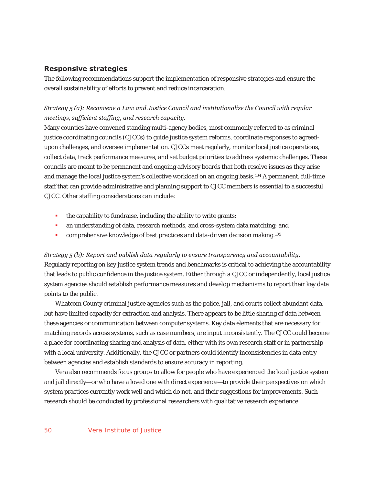### **Responsive strategies**

The following recommendations support the implementation of responsive strategies and ensure the overall sustainability of efforts to prevent and reduce incarceration.

### *Strategy 5 (a): Reconvene a Law and Justice Council and institutionalize the Council with regular meetings, sufficient staffing, and research capacity.*

Many counties have convened standing multi-agency bodies, most commonly referred to as criminal justice coordinating councils (CJCCs) to guide justice system reforms, coordinate responses to agreedupon challenges, and oversee implementation. CJCCs meet regularly, monitor local justice operations, collect data, track performance measures, and set budget priorities to address systemic challenges. These councils are meant to be permanent and ongoing advisory boards that both resolve issues as they arise and manage the local justice system's collective workload on an ongoing basis.104 A permanent, full-time staff that can provide administrative and planning support to CJCC members is essential to a successful CJCC. Other staffing considerations can include:

- $\blacksquare$  the capability to fundraise, including the ability to write grants;
- an understanding of data, research methods, and cross-system data matching; and
- **COMPTERENTIFY COMPTERENT COMPTERENT COMPTERENT COMPTERENT COMPTERENT COMPTERENT COMPTERENT COMPTERENT COMPTERENT COM**

*Strategy 5 (b): Report and publish data regularly to ensure transparency and accountability.*  Regularly reporting on key justice system trends and benchmarks is critical to achieving the accountability that leads to public confidence in the justice system. Either through a CJCC or independently, local justice system agencies should establish performance measures and develop mechanisms to report their key data points to the public.

Whatcom County criminal justice agencies such as the police, jail, and courts collect abundant data, but have limited capacity for extraction and analysis. There appears to be little sharing of data between these agencies or communication between computer systems. Key data elements that are necessary for matching records across systems, such as case numbers, are input inconsistently. The CJCC could become a place for coordinating sharing and analysis of data, either with its own research staff or in partnership with a local university. Additionally, the CJCC or partners could identify inconsistencies in data entry between agencies and establish standards to ensure accuracy in reporting.

Vera also recommends focus groups to allow for people who have experienced the local justice system and jail directly—or who have a loved one with direct experience—to provide their perspectives on which system practices currently work well and which do not, and their suggestions for improvements. Such research should be conducted by professional researchers with qualitative research experience.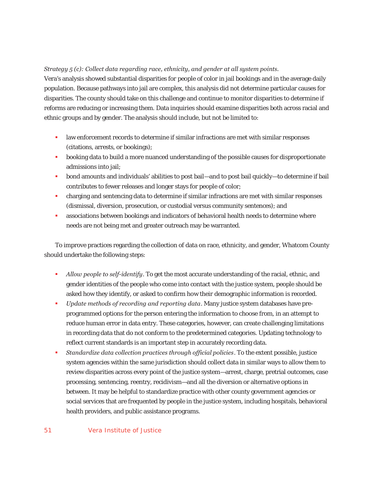### *Strategy 5 (c): Collect data regarding race, ethnicity, and gender at all system points.*

Vera's analysis showed substantial disparities for people of color in jail bookings and in the average daily population. Because pathways into jail are complex, this analysis did not determine particular causes for disparities. The county should take on this challenge and continue to monitor disparities to determine if reforms are reducing or increasing them. Data inquiries should examine disparities both across racial and ethnic groups and by gender. The analysis should include, but not be limited to:

- law enforcement records to determine if similar infractions are met with similar responses (citations, arrests, or bookings);
- **booking data to build a more nuanced understanding of the possible causes for disproportionate** admissions into jail;
- bond amounts and individuals' abilities to post bail—and to post bail quickly—to determine if bail contributes to fewer releases and longer stays for people of color;
- charging and sentencing data to determine if similar infractions are met with similar responses (dismissal, diversion, prosecution, or custodial versus community sentences); and
- associations between bookings and indicators of behavioral health needs to determine where needs are not being met and greater outreach may be warranted.

To improve practices regarding the collection of data on race, ethnicity, and gender, Whatcom County should undertake the following steps:

- *Allow people to self-identify*. To get the most accurate understanding of the racial, ethnic, and gender identities of the people who come into contact with the justice system, people should be asked how they identify, or asked to confirm how their demographic information is recorded.
- *Update methods of recording and reporting data*. Many justice system databases have preprogrammed options for the person entering the information to choose from, in an attempt to reduce human error in data entry. These categories, however, can create challenging limitations in recording data that do not conform to the predetermined categories. Updating technology to reflect current standards is an important step in accurately recording data.
- *Standardize data collection practices through official policies*. To the extent possible, justice system agencies within the same jurisdiction should collect data in similar ways to allow them to review disparities across every point of the justice system—arrest, charge, pretrial outcomes, case processing, sentencing, reentry, recidivism—and all the diversion or alternative options in between. It may be helpful to standardize practice with other county government agencies or social services that are frequented by people in the justice system, including hospitals, behavioral health providers, and public assistance programs.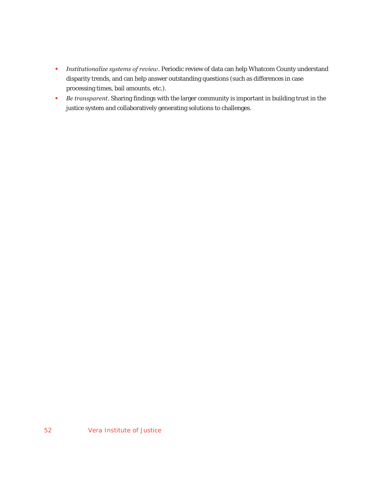- *Institutionalize systems of review*. Periodic review of data can help Whatcom County understand disparity trends, and can help answer outstanding questions (such as differences in case processing times, bail amounts, etc.).
- *Be transparent*. Sharing findings with the larger community is important in building trust in the justice system and collaboratively generating solutions to challenges.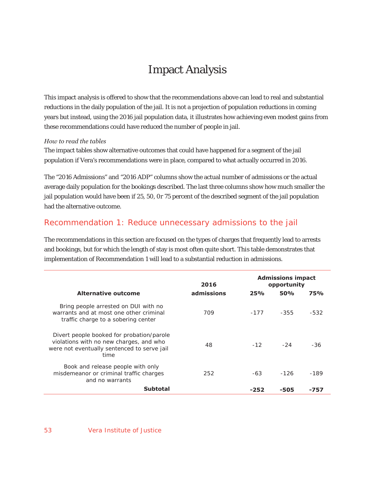# Impact Analysis

This impact analysis is offered to show that the recommendations above can lead to real and substantial reductions in the daily population of the jail. It is not a projection of population reductions in coming years but instead, using the 2016 jail population data, it illustrates how achieving even modest gains from these recommendations could have reduced the number of people in jail.

#### *How to read the tables*

The impact tables show alternative outcomes that could have happened for a segment of the jail population if Vera's recommendations were in place, compared to what actually occurred in 2016.

The "2016 Admissions" and "2016 ADP" columns show the actual number of admissions or the actual average daily population for the bookings described. The last three columns show how much smaller the jail population would have been if 25, 50, 0r 75 percent of the described segment of the jail population had the alternative outcome.

# Recommendation 1: Reduce unnecessary admissions to the jail

The recommendations in this section are focused on the types of charges that frequently lead to arrests and bookings, but for which the length of stay is most often quite short. This table demonstrates that implementation of Recommendation 1 will lead to a substantial reduction in admissions.

|                                                                                                                                             | 2016       |        | <b>Admissions impact</b><br>opportunity |            |
|---------------------------------------------------------------------------------------------------------------------------------------------|------------|--------|-----------------------------------------|------------|
| Alternative outcome                                                                                                                         | admissions | 25%    | 50%                                     | <b>75%</b> |
| Bring people arrested on DUI with no<br>warrants and at most one other criminal<br>traffic charge to a sobering center                      | 709        | $-177$ | $-355$                                  | $-532$     |
| Divert people booked for probation/parole<br>violations with no new charges, and who<br>were not eventually sentenced to serve jail<br>time | 48         | $-12$  | $-24$                                   | -36        |
| Book and release people with only<br>misdemeanor or criminal traffic charges<br>and no warrants                                             | 252        | $-63$  | $-126$                                  | $-189$     |
| Subtotal                                                                                                                                    |            | -252   | -505                                    | -757       |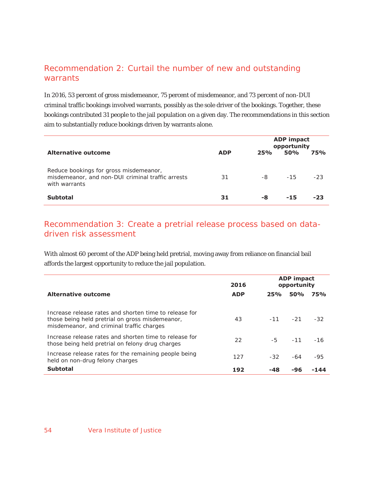# Recommendation 2: Curtail the number of new and outstanding warrants

In 2016, 53 percent of gross misdemeanor, 75 percent of misdemeanor, and 73 percent of non-DUI criminal traffic bookings involved warrants, possibly as the sole driver of the bookings. Together, these bookings contributed 31 people to the jail population on a given day. The recommendations in this section aim to substantially reduce bookings driven by warrants alone.

|                                                                                                              |            | <b>ADP</b> impact<br>opportunity |            |            |
|--------------------------------------------------------------------------------------------------------------|------------|----------------------------------|------------|------------|
| <b>Alternative outcome</b>                                                                                   | <b>ADP</b> | 25%                              | <b>50%</b> | <b>75%</b> |
| Reduce bookings for gross misdemeanor,<br>misdemeanor, and non-DUI criminal traffic arrests<br>with warrants | 31         | -8                               | $-15$      | $-23$      |
| <b>Subtotal</b>                                                                                              | 31         | -8                               | -15        | -23        |

# Recommendation 3: Create a pretrial release process based on datadriven risk assessment

With almost 60 percent of the ADP being held pretrial, moving away from reliance on financial bail affords the largest opportunity to reduce the jail population.

|                                                                                                                                                        | 2016       | <b>ADP</b> impact<br>opportunity |                  |            |
|--------------------------------------------------------------------------------------------------------------------------------------------------------|------------|----------------------------------|------------------|------------|
| Alternative outcome                                                                                                                                    | <b>ADP</b> | 25%                              | <b>50%</b>       | <b>75%</b> |
| Increase release rates and shorten time to release for<br>those being held pretrial on gross misdemeanor,<br>misdemeanor, and criminal traffic charges | 43         |                                  | $-11 - 21$       | $-32$      |
| Increase release rates and shorten time to release for<br>those being held pretrial on felony drug charges                                             | 22         |                                  | $-5$ $-11$ $-16$ |            |
| Increase release rates for the remaining people being<br>held on non-drug felony charges                                                               | 127        | $-32$                            | $-64$            | -95        |
| <b>Subtotal</b>                                                                                                                                        | 192        | -48                              | -96              | -144       |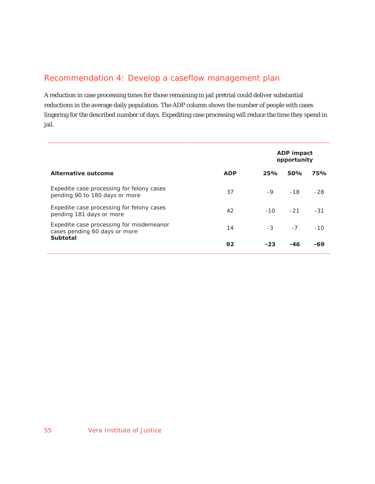# Recommendation 4: Develop a caseflow management plan

A reduction in case processing times for those remaining in jail pretrial could deliver substantial reductions in the average daily population. The ADP column shows the number of people with cases lingering for the described number of days. Expediting case processing will reduce the time they spend in jail.

|                                                                                              |            | <b>ADP</b> impact |            |            |
|----------------------------------------------------------------------------------------------|------------|-------------------|------------|------------|
|                                                                                              |            | opportunity       |            |            |
| Alternative outcome                                                                          | <b>ADP</b> | 25%               | <b>50%</b> | <b>75%</b> |
| Expedite case processing for felony cases<br>pending 90 to 180 days or more                  | 37         | $-9$              | $-18$      | $-28$      |
| Expedite case processing for felony cases<br>pending 181 days or more                        | 42         | $-10^{-}$         | $-21$      | $-31$      |
| Expedite case processing for misdemeanor<br>cases pending 60 days or more<br><b>Subtotal</b> | 14         | $-3$              | $-7$       | $-10$      |
|                                                                                              | 92         | -23               | -46        | -69        |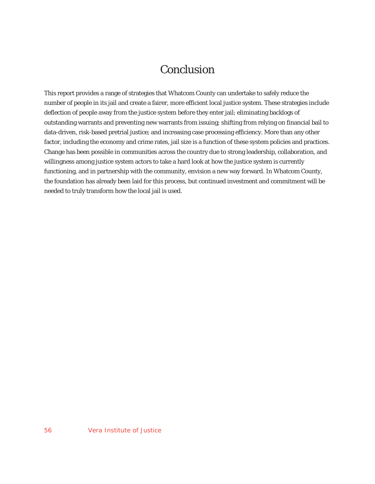# Conclusion

This report provides a range of strategies that Whatcom County can undertake to safely reduce the number of people in its jail and create a fairer, more efficient local justice system. These strategies include deflection of people away from the justice system before they enter jail; eliminating backlogs of outstanding warrants and preventing new warrants from issuing; shifting from relying on financial bail to data-driven, risk-based pretrial justice; and increasing case processing efficiency. More than any other factor, including the economy and crime rates, jail size is a function of these system policies and practices. Change has been possible in communities across the country due to strong leadership, collaboration, and willingness among justice system actors to take a hard look at how the justice system is currently functioning, and in partnership with the community, envision a new way forward. In Whatcom County, the foundation has already been laid for this process, but continued investment and commitment will be needed to truly transform how the local jail is used.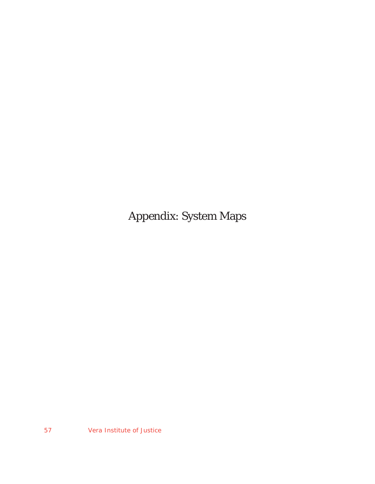Appendix: System Maps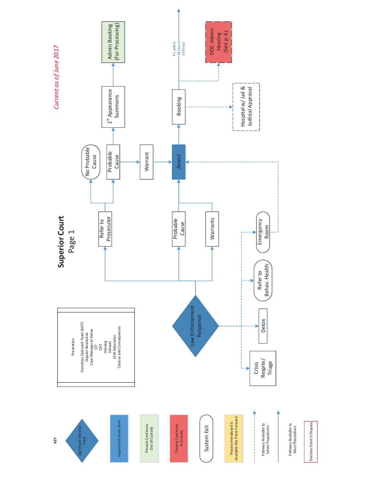

Decision Point in Dispute Decision Point in Dispute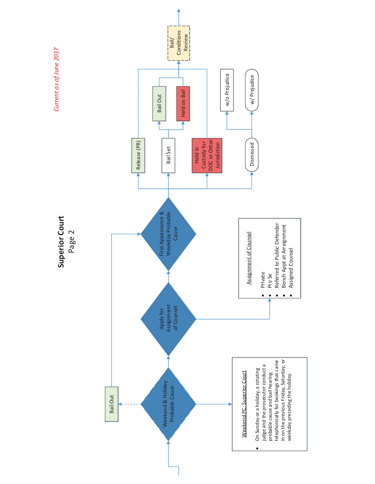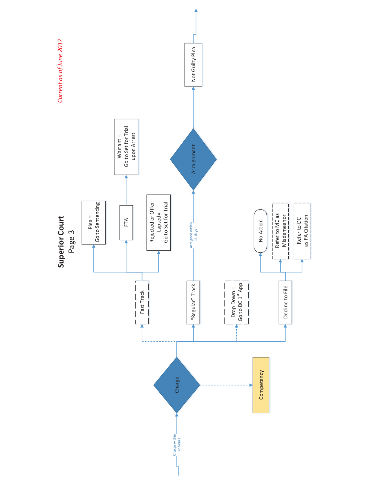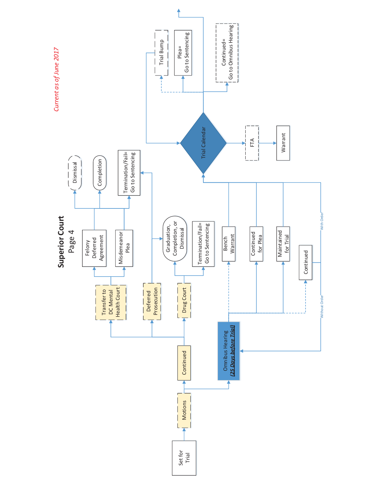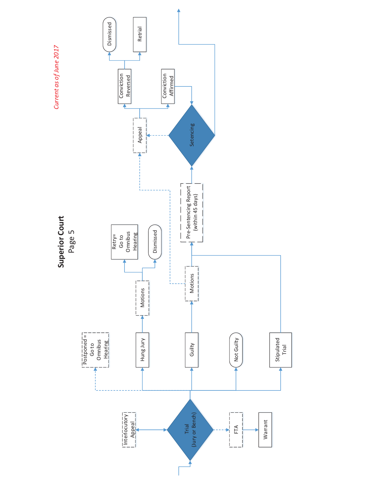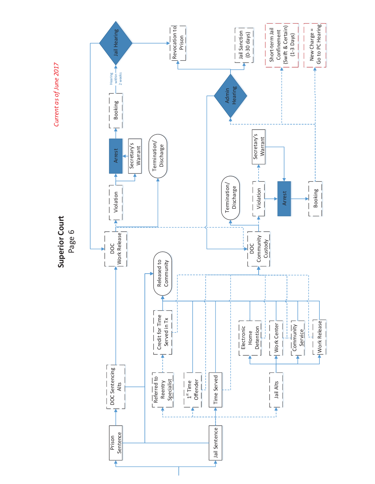

Current as of June 2017 *Current as of June 2017*

> Superior Court **Superior Court**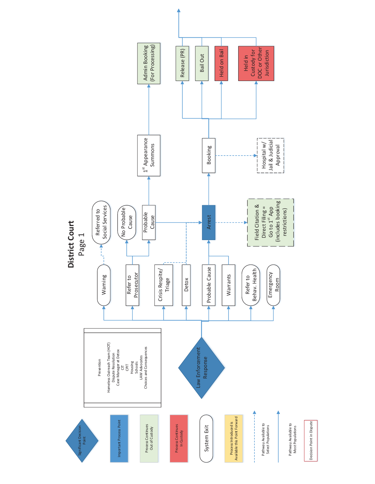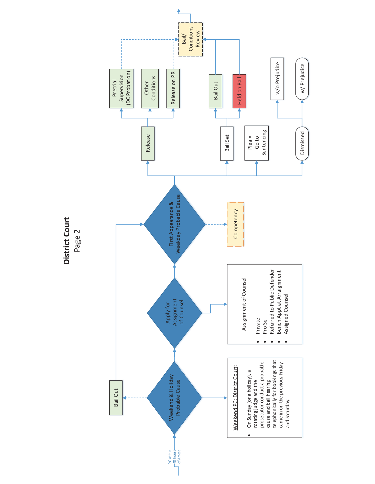District Court **District Court** Page 2

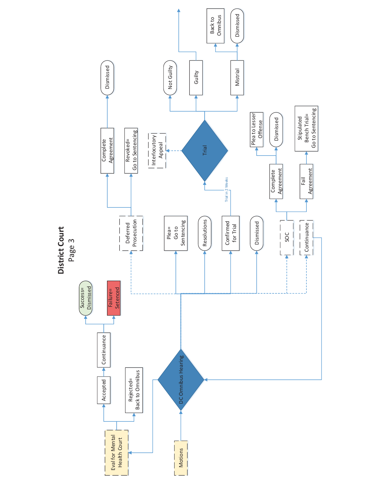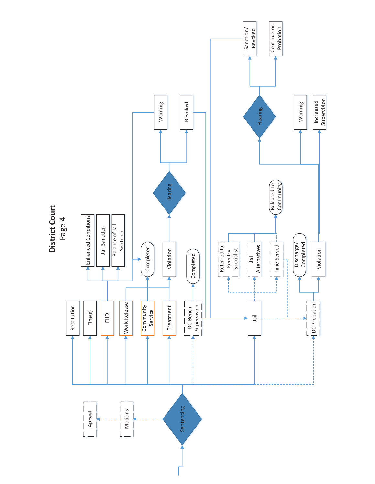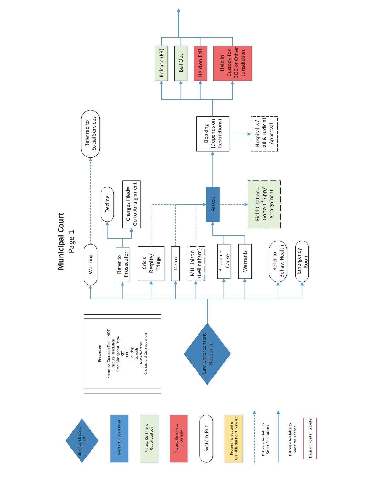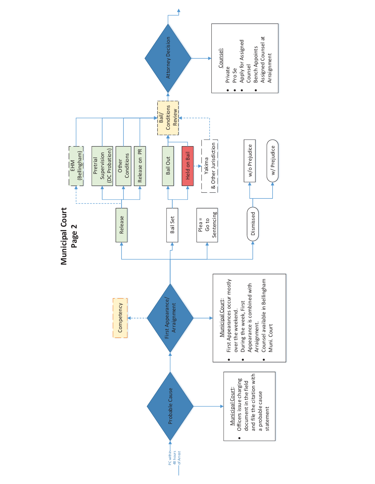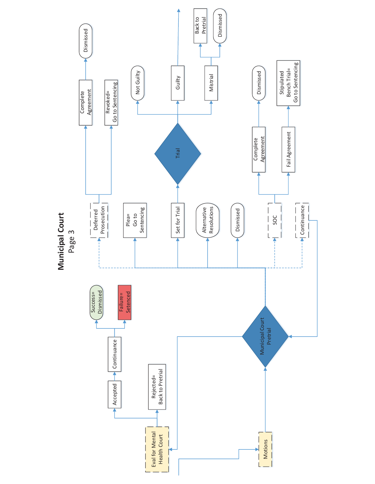

Municipal Court **Municipal Court**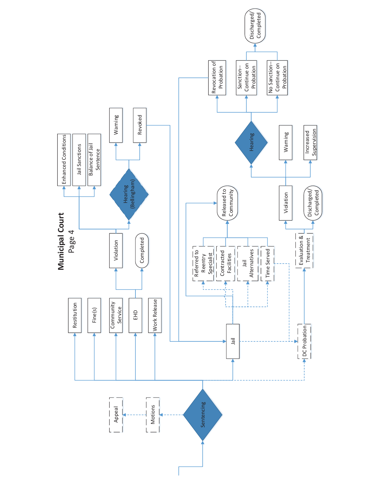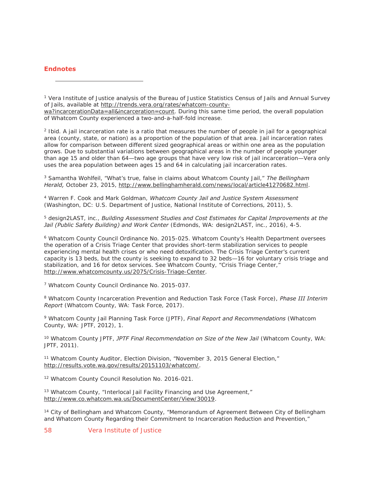## **Endnotes**

 $\overline{a}$ 

1 Vera Institute of Justice analysis of the Bureau of Justice Statistics Census of Jails and Annual Survey of Jails, available at http://trends.vera.org/rates/whatcom-county-

wa?incarcerationData=all&incarceration=count. During this same time period, the overall population of Whatcom County experienced a two-and-a-half-fold increase.

2 Ibid. A jail incarceration rate is a ratio that measures the number of people in jail for a geographical area (county, state, or nation) as a proportion of the population of that area. Jail incarceration rates allow for comparison between different sized geographical areas or within one area as the population grows. Due to substantial variations between geographical areas in the number of people younger than age 15 and older than 64—two age groups that have very low risk of jail incarceration—Vera only uses the area population between ages 15 and 64 in calculating jail incarceration rates.

3 Samantha Wohlfeil, "What's true, false in claims about Whatcom County Jail," *The Bellingham Herald,* October 23, 2015, http://www.bellinghamherald.com/news/local/article41270682.html.

4 Warren F. Cook and Mark Goldman, *Whatcom County Jail and Justice System Assessment*  (Washington, DC: U.S. Department of Justice, National Institute of Corrections, 2011), 5.

5 design2LAST, inc., *Building Assessment Studies and Cost Estimates for Capital Improvements at the Jail (Public Safety Building) and Work Center* (Edmonds, WA: design2LAST, inc., 2016), 4-5.

6 Whatcom County Council Ordinance No. 2015-025. Whatcom County's Health Department oversees the operation of a Crisis Triage Center that provides short-term stabilization services to people experiencing mental health crises or who need detoxification. The Crisis Triage Center's current capacity is 13 beds, but the county is seeking to expand to 32 beds—16 for voluntary crisis triage and stabilization, and 16 for detox services. See Whatcom County, "Crisis Triage Center," http://www.whatcomcounty.us/2075/Crisis-Triage-Center.

7 Whatcom County Council Ordinance No. 2015-037.

8 Whatcom County Incarceration Prevention and Reduction Task Force (Task Force), *Phase III Interim Report* (Whatcom County, WA: Task Force, 2017).

9 Whatcom County Jail Planning Task Force (JPTF), *Final Report and Recommendations* (Whatcom County, WA: JPTF, 2012), 1.

<sup>10</sup> Whatcom County JPTF, JPTF Final Recommendation on Size of the New Jail (Whatcom County, WA: JPTF, 2011).

11 Whatcom County Auditor, Election Division, "November 3, 2015 General Election," http://results.vote.wa.gov/results/20151103/whatcom/.

12 Whatcom County Council Resolution No. 2016-021.

<sup>13</sup> Whatcom County, "Interlocal Jail Facility Financing and Use Agreement," http://www.co.whatcom.wa.us/DocumentCenter/View/30019.

<sup>14</sup> City of Bellingham and Whatcom County, "Memorandum of Agreement Between City of Bellingham and Whatcom County Regarding their Commitment to Incarceration Reduction and Prevention,"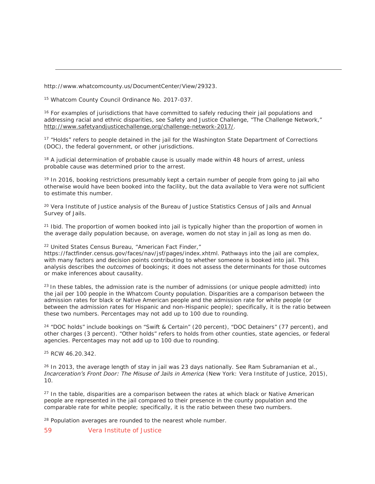http://www.whatcomcounty.us/DocumentCenter/View/29323.

15 Whatcom County Council Ordinance No. 2017-037.

 $\overline{a}$ 

<sup>16</sup> For examples of jurisdictions that have committed to safely reducing their jail populations and addressing racial and ethnic disparities, see Safety and Justice Challenge, "The Challenge Network," http://www.safetyandjusticechallenge.org/challenge-network-2017/.

<sup>17</sup> "Holds" refers to people detained in the jail for the Washington State Department of Corrections (DOC), the federal government, or other jurisdictions.

<sup>18</sup> A judicial determination of probable cause is usually made within 48 hours of arrest, unless probable cause was determined prior to the arrest.

<sup>19</sup> In 2016, booking restrictions presumably kept a certain number of people from going to jail who otherwise would have been booked into the facility, but the data available to Vera were not sufficient to estimate this number.

<sup>20</sup> Vera Institute of Justice analysis of the Bureau of Justice Statistics Census of Jails and Annual Survey of Jails.

 $21$  Ibid. The proportion of women booked into jail is typically higher than the proportion of women in the average daily population because, on average, women do not stay in jail as long as men do.

22 United States Census Bureau, "American Fact Finder,"

https://factfinder.census.gov/faces/nav/jsf/pages/index.xhtml. Pathways into the jail are complex, with many factors and decision points contributing to whether someone is booked into jail. This analysis describes the *outcomes* of bookings; it does not assess the determinants for those outcomes or make inferences about causality.

 $^{23}$  In these tables, the admission rate is the number of admissions (or unique people admitted) into the jail per 100 people in the Whatcom County population. Disparities are a comparison between the admission rates for black or Native American people and the admission rate for white people (or between the admission rates for Hispanic and non-Hispanic people); specifically, it is the ratio between these two numbers. Percentages may not add up to 100 due to rounding.

<sup>24</sup> "DOC holds" include bookings on "Swift & Certain" (20 percent), "DOC Detainers" (77 percent), and other charges (3 percent). "Other holds" refers to holds from other counties, state agencies, or federal agencies. Percentages may not add up to 100 due to rounding.

25 RCW 46.20.342.

 $26$  In 2013, the average length of stay in jail was 23 days nationally. See Ram Subramanian et al., *Incarceration's Front Door: The Misuse of Jails in America* (New York: Vera Institute of Justice, 2015), 10.

 $27$  In the table, disparities are a comparison between the rates at which black or Native American people are represented in the jail compared to their presence in the county population and the comparable rate for white people; specifically, it is the ratio between these two numbers.

<sup>28</sup> Population averages are rounded to the nearest whole number.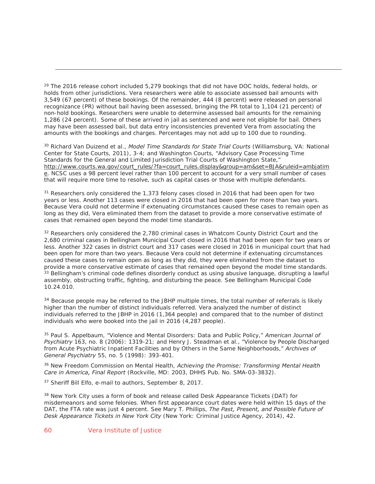$29$  The 2016 release cohort included 5,279 bookings that did not have DOC holds, federal holds, or holds from other jurisdictions. Vera researchers were able to associate assessed bail amounts with 3,549 (67 percent) of these bookings. Of the remainder, 444 (8 percent) were released on personal recognizance (PR) without bail having been assessed, bringing the PR total to 1,104 (21 percent) of non-hold bookings. Researchers were unable to determine assessed bail amounts for the remaining 1,286 (24 percent). Some of these arrived in jail as sentenced and were not eligible for bail. Others may have been assessed bail, but data entry inconsistencies prevented Vera from associating the amounts with the bookings and charges. Percentages may not add up to 100 due to rounding.

30 Richard Van Duizend et al., *Model Time Standards for State Trial Courts* (Williamsburg, VA: National Center for State Courts, 2011), 3-4; and Washington Courts, "Advisory Case Processing Time Standards for the General and Limited Jurisdiction Trial Courts of Washington State," http://www.courts.wa.gov/court\_rules/?fa=court\_rules.display&group=am&set=BJA&ruleid=ambjatim e. NCSC uses a 98 percent level rather than 100 percent to account for a very small number of cases that will require more time to resolve, such as capital cases or those with multiple defendants.

<sup>31</sup> Researchers only considered the 1,373 felony cases closed in 2016 that had been open for two years or less. Another 113 cases were closed in 2016 that had been open for more than two years. Because Vera could not determine if extenuating circumstances caused these cases to remain open as long as they did, Vera eliminated them from the dataset to provide a more conservative estimate of cases that remained open beyond the model time standards.

<sup>32</sup> Researchers only considered the 2,780 criminal cases in Whatcom County District Court and the 2,680 criminal cases in Bellingham Municipal Court closed in 2016 that had been open for two years or less. Another 322 cases in district court and 317 cases were closed in 2016 in municipal court that had been open for more than two years. Because Vera could not determine if extenuating circumstances caused these cases to remain open as long as they did, they were eliminated from the dataset to provide a more conservative estimate of cases that remained open beyond the model time standards.<br><sup>33</sup> Bellingham's criminal code defines disorderly conduct as using abusive language, disrupting a lawful assembly, obstructing traffic, fighting, and disturbing the peace. See Bellingham Municipal Code 10.24.010.

<sup>34</sup> Because people may be referred to the JBHP multiple times, the total number of referrals is likely higher than the number of distinct individuals referred. Vera analyzed the number of distinct individuals referred to the JBHP in 2016 (1,364 people) and compared that to the number of distinct individuals who were booked into the jail in 2016 (4,287 people).

35 Paul S. Appelbaum, "Violence and Mental Disorders: Data and Public Policy," *American Journal of Psychiatry* 163, no. 8 (2006): 1319-21; and Henry J. Steadman et al., "Violence by People Discharged from Acute Psychiatric Inpatient Facilities and by Others in the Same Neighborhoods," *Archives of General Psychiatry* 55, no. 5 (1998): 393-401.

36 New Freedom Commission on Mental Health, *Achieving the Promise: Transforming Mental Health Care in America, Final Report* (Rockville, MD: 2003, DHHS Pub. No. SMA-03-3832).

37 Sheriff Bill Elfo, e-mail to authors, September 8, 2017.

<sup>38</sup> New York City uses a form of book and release called Desk Appearance Tickets (DAT) for misdemeanors and some felonies. When first appearance court dates were held within 15 days of the DAT, the FTA rate was just 4 percent. See Mary T. Phillips, *The Past, Present, and Possible Future of Desk Appearance Tickets in New York City* (New York: Criminal Justice Agency, 2014), 42.

 $\overline{a}$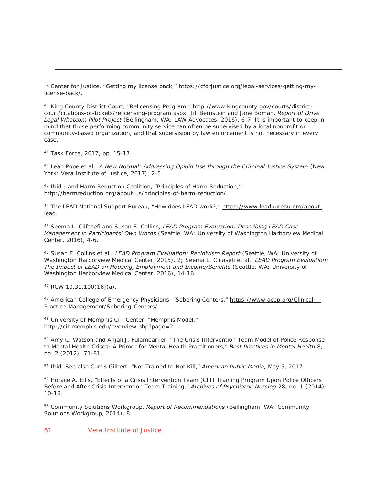39 Center for Justice, "Getting my license back," https://cforjustice.org/legal-services/getting-mylicense-back/.

40 King County District Court, "Relicensing Program," http://www.kingcounty.gov/courts/districtcourt/citations-or-tickets/relicensing-program.aspx; Jill Bernstein and Jane Boman, *Report of Drive Legal Whatcom Pilot Project* (Bellingham, WA: LAW Advocates, 2016), 6-7. It is important to keep in mind that those performing community service can often be supervised by a local nonprofit or community-based organization, and that supervision by law enforcement is not necessary in every case.

41 Task Force, 2017, pp. 15-17.

 $\overline{a}$ 

42 Leah Pope et al., *A New Normal: Addressing Opioid Use through the Criminal Justice System* (New York: Vera Institute of Justice, 2017), 2-5.

43 Ibid.; and Harm Reduction Coalition, "Principles of Harm Reduction," http://harmreduction.org/about-us/principles-of-harm-reduction/.

44 The LEAD National Support Bureau, "How does LEAD work?," https://www.leadbureau.org/aboutlead.

45 Seema L. Clifasefi and Susan E. Collins, *LEAD Program Evaluation: Describing LEAD Case Management in Participants' Own Words* (Seattle, WA: University of Washington Harborview Medical Center, 2016), 4-6.

46 Susan E. Collins et al., *LEAD Program Evaluation: Recidivism Report* (Seattle, WA: University of Washington Harborview Medical Center, 2015), 2; Seema L. Clifasefi et al., *LEAD Program Evaluation: The Impact of LEAD on Housing, Employment and Income/Benefits* (Seattle, WA: University of Washington Harborview Medical Center, 2016), 14-16.

47 RCW 10.31.100(16)(a).

48 American College of Emergency Physicians, "Sobering Centers," https://www.acep.org/Clinical---Practice-Management/Sobering-Centers/.

49 University of Memphis CIT Center, "Memphis Model," http://cit.memphis.edu/overview.php?page=2.

<sup>50</sup> Amy C. Watson and Anjali J. Fulambarker, "The Crisis Intervention Team Model of Police Response to Mental Health Crises: A Primer for Mental Health Practitioners," *Best Practices in Mental Health* 8, no. 2 (2012): 71-81.

51 Ibid. See also Curtis Gilbert, "Not Trained to Not Kill," *American Public Media,* May 5, 2017.

52 Horace A. Ellis, "Effects of a Crisis Intervention Team (CIT) Training Program Upon Police Officers Before and After Crisis Intervention Team Training," *Archives of Psychiatric Nursing* 28, no. 1 (2014): 10-16.

53 Community Solutions Workgroup, *Report of Recommendations* (Bellingham, WA: Community Solutions Workgroup, 2014), 8.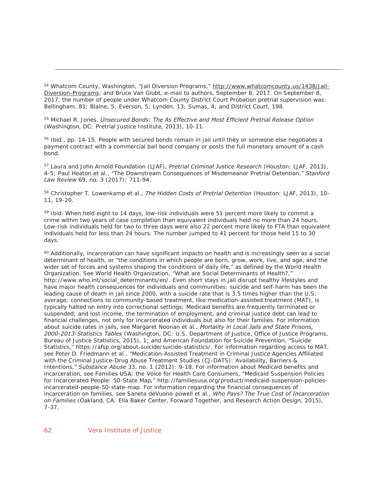54 Whatcom County, Washington, "Jail Diversion Programs," http://www.whatcomcounty.us/1438/Jail-Diversion-Programs; and Bruce Van Glubt, e-mail to authors, September 8, 2017. On September 8, 2017, the number of people under Whatcom County District Court Probation pretrial supervision was: Bellingham, 81; Blaine, 5; Everson, 5; Lynden, 13; Sumas, 4; and District Court, 198.

55 Michael R. Jones, *Unsecured Bonds: The As Effective and Most Efficient Pretrial Release Option* (Washington, DC: Pretrial Justice Institute, 2013), 10-11.

<sup>56</sup> Ibid., pp. 14-15. People with secured bonds remain in jail until they or someone else negotiates a payment contract with a commercial bail bond company or posts the full monetary amount of a cash bond.

57 Laura and John Arnold Foundation (LJAF), *Pretrial Criminal Justice Research* (Houston: LJAF, 2013), 4-5; Paul Heaton et al., "The Downstream Consequences of Misdemeanor Pretrial Detention," *Stanford Law Review* 69, no. 3 (2017): 711-94.

58 Christopher T. Lowenkamp et al., *The Hidden Costs of Pretrial Detention* (Houston: LJAF, 2013), 10- 11, 19-20.

<sup>59</sup> Ibid. When held eight to 14 days, low-risk individuals were 51 percent more likely to commit a crime within two years of case completion than equivalent individuals held no more than 24 hours. Low-risk individuals held for two to three days were also 22 percent more likely to FTA than equivalent individuals held for less than 24 hours. The number jumped to 41 percent for those held 15 to 30 days.

<sup>60</sup> Additionally, incarceration can have significant impacts on health and is increasingly seen as a social determinant of health, or "the conditions in which people are born, grow, work, live, and age, and the wider set of forces and systems shaping the conditions of daily life," as defined by the World Health Organization. See World Health Organization, "What are Social Determinants of Health?," http://www.who.int/social\_determinants/en/. Even short stays in jail disrupt healthy lifestyles and have major health consequences for individuals and communities: suicide and self-harm has been the leading cause of death in jail since 2000, with a suicide rate that is 3.5 times higher than the U.S. average; connections to community-based treatment, like medication-assisted treatment (MAT), is typically halted on entry into correctional settings; Medicaid benefits are frequently terminated or suspended; and lost income, the termination of employment, and criminal justice debt can lead to financial challenges, not only for incarcerated individuals but also for their families. For information about suicide rates in jails, see Margaret Noonan et al., *Mortality in Local Jails and State Prisons, 2000-2013-Statistics Tables* (Washington, DC: U.S. Department of Justice, Office of Justice Programs, Bureau of Justice Statistics, 2015), 1; and American Foundation for Suicide Prevention, "Suicide Statistics," https://afsp.org/about-suicide/suicide-statistics/. For information regarding access to MAT, see Peter D. Friedmann et al., "Medication-Assisted Treatment in Criminal Justice Agencies Affiliated with the Criminal Justice-Drug Abuse Treatment Studies (CJ-DATS): Availability, Barriers & Intentions," *Substance Abuse* 33, no. 1 (2012): 9-18. For information about Medicaid benefits and incarceration, see Families USA: the Voice for Health Care Consumers, "Medicaid Suspension Policies for Incarcerated People: 50-State Map," http://familiesusa.org/product/medicaid-suspension-policiesincarcerated-people-50-state-map. For information regarding the financial consequences of incarceration on families, see Saneta deVuono-powell et al., *Who Pays? The True Cost of Incarceration on Families* (Oakland, CA: Ella Baker Center, Forward Together, and Research Action Design, 2015), 7-37.

 $\overline{a}$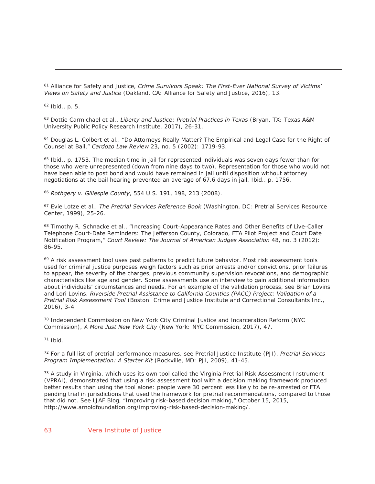61 Alliance for Safety and Justice, *Crime Survivors Speak: The First-Ever National Survey of Victims' Views on Safety and Justice* (Oakland, CA: Alliance for Safety and Justice, 2016), 13.

62 Ibid., p. 5.

 $\overline{a}$ 

63 Dottie Carmichael et al., *Liberty and Justice: Pretrial Practices in Texas* (Bryan, TX: Texas A&M University Public Policy Research Institute, 2017), 26-31.

64 Douglas L. Colbert et al., "Do Attorneys Really Matter? The Empirical and Legal Case for the Right of Counsel at Bail," *Cardozo Law Review* 23*,* no. 5 (2002): 1719-93.

65 Ibid., p. 1753. The median time in jail for represented individuals was seven days fewer than for those who were unrepresented (down from nine days to two). Representation for those who would not have been able to post bond and would have remained in jail until disposition without attorney negotiations at the bail hearing prevented an average of 67.6 days in jail. Ibid., p. 1756.

<sup>66</sup> *Rothgery v. Gillespie County*, 554 U.S. 191, 198, 213 (2008).

67 Evie Lotze et al., *The Pretrial Services Reference Book* (Washington, DC: Pretrial Services Resource Center, 1999), 25-26.

<sup>68</sup> Timothy R. Schnacke et al., "Increasing Court-Appearance Rates and Other Benefits of Live-Caller Telephone Court-Date Reminders: The Jefferson County, Colorado, FTA Pilot Project and Court Date Notification Program," *Court Review: The Journal of American Judges Association* 48, no. 3 (2012): 86-95.

<sup>69</sup> A risk assessment tool uses past patterns to predict future behavior. Most risk assessment tools used for criminal justice purposes weigh factors such as prior arrests and/or convictions, prior failures to appear, the severity of the charges, previous community supervision revocations, and demographic characteristics like age and gender. Some assessments use an interview to gain additional information about individuals' circumstances and needs. For an example of the validation process, see Brian Lovins and Lori Lovins, *Riverside Pretrial Assistance to California Counties (PACC) Project: Validation of a Pretrial Risk Assessment Tool* (Boston: Crime and Justice Institute and Correctional Consultants Inc., 2016), 3-4.

70 Independent Commission on New York City Criminal Justice and Incarceration Reform (NYC Commission), *A More Just New York City* (New York: NYC Commission, 2017), 47.

71 Ibid.

72 For a full list of pretrial performance measures, see Pretrial Justice Institute (PJI), *Pretrial Services Program Implementation: A Starter Kit* (Rockville, MD: PJI, 2009), 41-45.

 $73$  A study in Virginia, which uses its own tool called the Virginia Pretrial Risk Assessment Instrument (VPRAI), demonstrated that using a risk assessment tool with a decision making framework produced better results than using the tool alone: people were 30 percent less likely to be re-arrested or FTA pending trial in jurisdictions that used the framework for pretrial recommendations, compared to those that did not. See LJAF Blog, "Improving risk-based decision making," October 15, 2015, http://www.arnoldfoundation.org/improving-risk-based-decision-making/.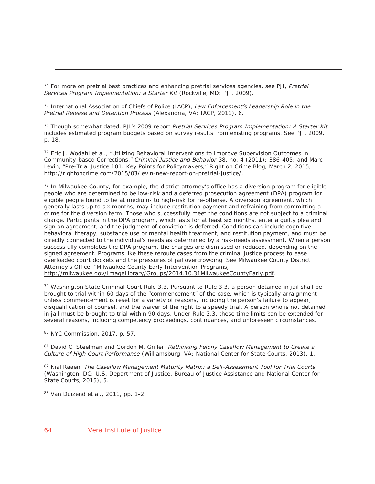74 For more on pretrial best practices and enhancing pretrial services agencies, see PJI, *Pretrial Services Program Implementation: a Starter Kit* (Rockville, MD: PJI, 2009).

75 International Association of Chiefs of Police (IACP), *Law Enforcement's Leadership Role in the Pretrial Release and Detention Process* (Alexandria, VA: IACP, 2011), 6.

76 Though somewhat dated, PJI's 2009 report *Pretrial Services Program Implementation: A Starter Kit* includes estimated program budgets based on survey results from existing programs. See PJI, 2009, p. 18.

77 Eric J. Wodahl et al., "Utilizing Behavioral Interventions to Improve Supervision Outcomes in Community-based Corrections," *Criminal Justice and Behavior* 38, no. 4 (2011): 386-405; and Marc Levin, "Pre-Trial Justice 101: Key Points for Policymakers," Right on Crime Blog, March 2, 2015, http://rightoncrime.com/2015/03/levin-new-report-on-pretrial-justice/.

 $78$  In Milwaukee County, for example, the district attorney's office has a diversion program for eligible people who are determined to be low-risk and a deferred prosecution agreement (DPA) program for eligible people found to be at medium- to high-risk for re-offense. A diversion agreement, which generally lasts up to six months, may include restitution payment and refraining from committing a crime for the diversion term. Those who successfully meet the conditions are not subject to a criminal charge. Participants in the DPA program, which lasts for at least six months, enter a guilty plea and sign an agreement, and the judgment of conviction is deferred. Conditions can include cognitive behavioral therapy, substance use or mental health treatment, and restitution payment, and must be directly connected to the individual's needs as determined by a risk-needs assessment. When a person successfully completes the DPA program, the charges are dismissed or reduced, depending on the signed agreement. Programs like these reroute cases from the criminal justice process to ease overloaded court dockets and the pressures of jail overcrowding. See Milwaukee County District Attorney's Office, "Milwaukee County Early Intervention Programs*,*" http://milwaukee.gov/ImageLibrary/Groups/2014.10.31MilwaukeeCountyEarly.pdf.

79 Washington State Criminal Court Rule 3.3. Pursuant to Rule 3.3, a person detained in jail shall be brought to trial within 60 days of the "commencement" of the case, which is typically arraignment unless commencement is reset for a variety of reasons, including the person's failure to appear, disqualification of counsel, and the waiver of the right to a speedy trial. A person who is not detained in jail must be brought to trial within 90 days. Under Rule 3.3, these time limits can be extended for several reasons, including competency proceedings, continuances, and unforeseen circumstances.

80 NYC Commission, 2017, p. 57.

 $\overline{a}$ 

81 David C. Steelman and Gordon M. Griller, *Rethinking Felony Caseflow Management to Create a Culture of High Court Performance* (Williamsburg, VA: National Center for State Courts, 2013), 1.

82 Nial Raaen, *The Caseflow Management Maturity Matrix: a Self-Assessment Tool for Trial Courts*  (Washington, DC: U.S. Department of Justice, Bureau of Justice Assistance and National Center for State Courts, 2015), 5.

83 Van Duizend et al., 2011, pp. 1-2.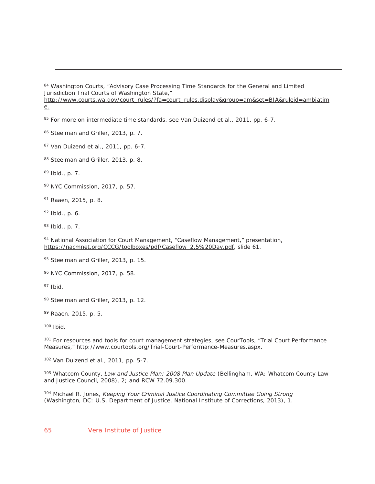84 Washington Courts, "Advisory Case Processing Time Standards for the General and Limited Jurisdiction Trial Courts of Washington State,"

http://www.courts.wa.gov/court\_rules/?fa=court\_rules.display&group=am&set=BJA&ruleid=ambjatim e.

<sup>85</sup> For more on intermediate time standards, see Van Duizend et al., 2011, pp. 6-7.

86 Steelman and Griller, 2013, p. 7.

87 Van Duizend et al., 2011, pp. 6-7.

88 Steelman and Griller, 2013, p. 8.

89 Ibid., p. 7.

 $\overline{a}$ 

90 NYC Commission, 2017, p. 57.

91 Raaen, 2015, p. 8.

 $92$  Ibid., p. 6.

93 Ibid., p. 7.

94 National Association for Court Management, "Caseflow Management," presentation, https://nacmnet.org/CCCG/toolboxes/pdf/Caseflow\_2.5%20Day.pdf, slide 61.

95 Steelman and Griller, 2013, p. 15.

96 NYC Commission, 2017, p. 58.

 $97$  Ibid.

98 Steelman and Griller, 2013, p. 12.

99 Raaen, 2015, p. 5.

100 Ibid.

<sup>101</sup> For resources and tools for court management strategies, see CourTools, "Trial Court Performance Measures," http://www.courtools.org/Trial-Court-Performance-Measures.aspx.

102 Van Duizend et al., 2011, pp. 5-7.

103 Whatcom County, *Law and Justice Plan: 2008 Plan Update* (Bellingham, WA: Whatcom County Law and Justice Council, 2008), 2; and RCW 72.09.300.

104 Michael R. Jones, *Keeping Your Criminal Justice Coordinating Committee Going Strong* (Washington, DC: U.S. Department of Justice, National Institute of Corrections, 2013), 1.